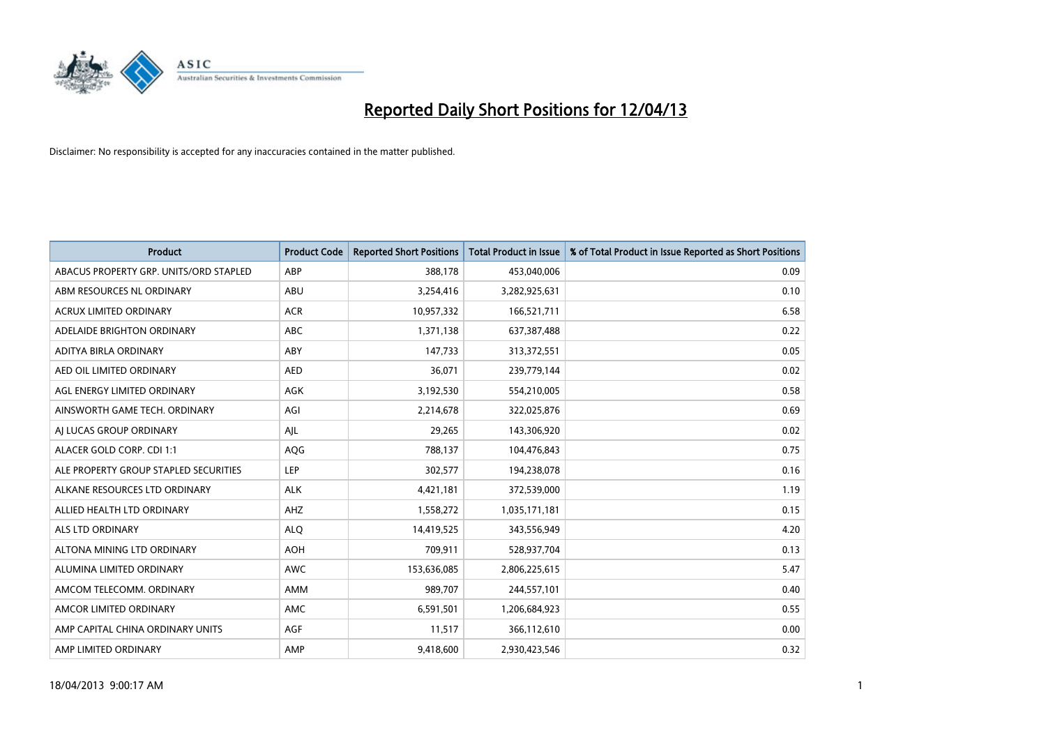

| <b>Product</b>                         | <b>Product Code</b> | <b>Reported Short Positions</b> | <b>Total Product in Issue</b> | % of Total Product in Issue Reported as Short Positions |
|----------------------------------------|---------------------|---------------------------------|-------------------------------|---------------------------------------------------------|
| ABACUS PROPERTY GRP. UNITS/ORD STAPLED | ABP                 | 388,178                         | 453,040,006                   | 0.09                                                    |
| ABM RESOURCES NL ORDINARY              | ABU                 | 3,254,416                       | 3,282,925,631                 | 0.10                                                    |
| ACRUX LIMITED ORDINARY                 | <b>ACR</b>          | 10,957,332                      | 166,521,711                   | 6.58                                                    |
| ADELAIDE BRIGHTON ORDINARY             | <b>ABC</b>          | 1,371,138                       | 637, 387, 488                 | 0.22                                                    |
| ADITYA BIRLA ORDINARY                  | ABY                 | 147,733                         | 313,372,551                   | 0.05                                                    |
| AED OIL LIMITED ORDINARY               | <b>AED</b>          | 36,071                          | 239,779,144                   | 0.02                                                    |
| AGL ENERGY LIMITED ORDINARY            | AGK                 | 3,192,530                       | 554,210,005                   | 0.58                                                    |
| AINSWORTH GAME TECH. ORDINARY          | AGI                 | 2,214,678                       | 322,025,876                   | 0.69                                                    |
| AI LUCAS GROUP ORDINARY                | AJL                 | 29,265                          | 143,306,920                   | 0.02                                                    |
| ALACER GOLD CORP. CDI 1:1              | AQG                 | 788,137                         | 104,476,843                   | 0.75                                                    |
| ALE PROPERTY GROUP STAPLED SECURITIES  | <b>LEP</b>          | 302,577                         | 194,238,078                   | 0.16                                                    |
| ALKANE RESOURCES LTD ORDINARY          | <b>ALK</b>          | 4,421,181                       | 372,539,000                   | 1.19                                                    |
| ALLIED HEALTH LTD ORDINARY             | AHZ                 | 1,558,272                       | 1,035,171,181                 | 0.15                                                    |
| ALS LTD ORDINARY                       | <b>ALQ</b>          | 14,419,525                      | 343,556,949                   | 4.20                                                    |
| ALTONA MINING LTD ORDINARY             | <b>AOH</b>          | 709,911                         | 528,937,704                   | 0.13                                                    |
| ALUMINA LIMITED ORDINARY               | <b>AWC</b>          | 153,636,085                     | 2,806,225,615                 | 5.47                                                    |
| AMCOM TELECOMM. ORDINARY               | AMM                 | 989,707                         | 244,557,101                   | 0.40                                                    |
| AMCOR LIMITED ORDINARY                 | AMC                 | 6,591,501                       | 1,206,684,923                 | 0.55                                                    |
| AMP CAPITAL CHINA ORDINARY UNITS       | <b>AGF</b>          | 11,517                          | 366,112,610                   | 0.00                                                    |
| AMP LIMITED ORDINARY                   | AMP                 | 9,418,600                       | 2,930,423,546                 | 0.32                                                    |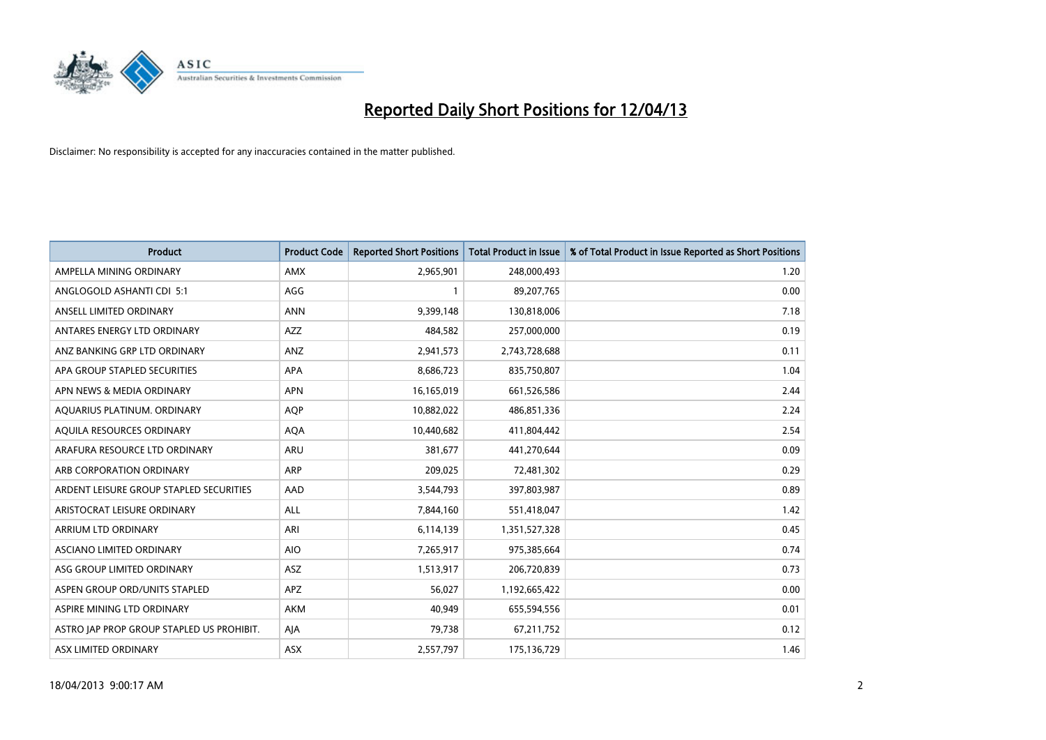

| <b>Product</b>                            | <b>Product Code</b> | <b>Reported Short Positions</b> | <b>Total Product in Issue</b> | % of Total Product in Issue Reported as Short Positions |
|-------------------------------------------|---------------------|---------------------------------|-------------------------------|---------------------------------------------------------|
| AMPELLA MINING ORDINARY                   | AMX                 | 2,965,901                       | 248,000,493                   | 1.20                                                    |
| ANGLOGOLD ASHANTI CDI 5:1                 | AGG                 | 1                               | 89,207,765                    | 0.00                                                    |
| ANSELL LIMITED ORDINARY                   | <b>ANN</b>          | 9,399,148                       | 130,818,006                   | 7.18                                                    |
| ANTARES ENERGY LTD ORDINARY               | AZZ                 | 484,582                         | 257,000,000                   | 0.19                                                    |
| ANZ BANKING GRP LTD ORDINARY              | ANZ                 | 2,941,573                       | 2,743,728,688                 | 0.11                                                    |
| APA GROUP STAPLED SECURITIES              | APA                 | 8,686,723                       | 835,750,807                   | 1.04                                                    |
| APN NEWS & MEDIA ORDINARY                 | <b>APN</b>          | 16,165,019                      | 661,526,586                   | 2.44                                                    |
| AQUARIUS PLATINUM. ORDINARY               | <b>AOP</b>          | 10,882,022                      | 486,851,336                   | 2.24                                                    |
| AQUILA RESOURCES ORDINARY                 | <b>AQA</b>          | 10,440,682                      | 411,804,442                   | 2.54                                                    |
| ARAFURA RESOURCE LTD ORDINARY             | ARU                 | 381,677                         | 441,270,644                   | 0.09                                                    |
| ARB CORPORATION ORDINARY                  | ARP                 | 209,025                         | 72,481,302                    | 0.29                                                    |
| ARDENT LEISURE GROUP STAPLED SECURITIES   | AAD                 | 3,544,793                       | 397,803,987                   | 0.89                                                    |
| ARISTOCRAT LEISURE ORDINARY               | ALL                 | 7,844,160                       | 551,418,047                   | 1.42                                                    |
| ARRIUM LTD ORDINARY                       | ARI                 | 6,114,139                       | 1,351,527,328                 | 0.45                                                    |
| ASCIANO LIMITED ORDINARY                  | <b>AIO</b>          | 7,265,917                       | 975,385,664                   | 0.74                                                    |
| ASG GROUP LIMITED ORDINARY                | <b>ASZ</b>          | 1,513,917                       | 206,720,839                   | 0.73                                                    |
| ASPEN GROUP ORD/UNITS STAPLED             | APZ                 | 56,027                          | 1,192,665,422                 | 0.00                                                    |
| ASPIRE MINING LTD ORDINARY                | AKM                 | 40,949                          | 655,594,556                   | 0.01                                                    |
| ASTRO JAP PROP GROUP STAPLED US PROHIBIT. | AJA                 | 79,738                          | 67,211,752                    | 0.12                                                    |
| ASX LIMITED ORDINARY                      | ASX                 | 2,557,797                       | 175,136,729                   | 1.46                                                    |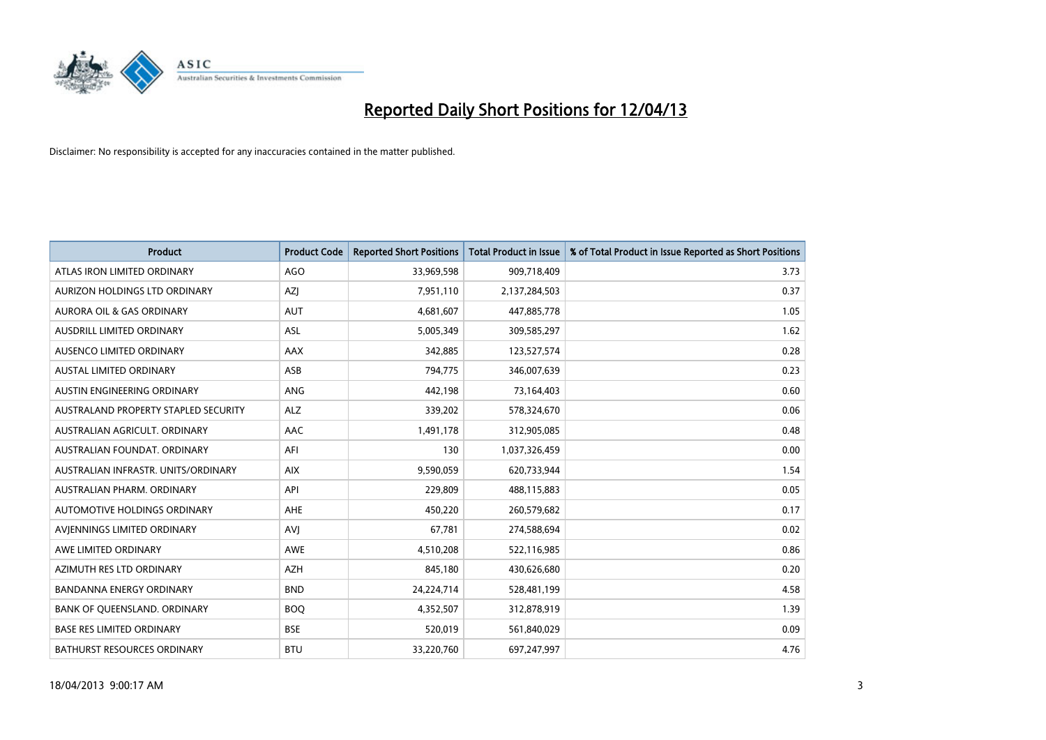

| <b>Product</b>                       | <b>Product Code</b> | <b>Reported Short Positions</b> | <b>Total Product in Issue</b> | % of Total Product in Issue Reported as Short Positions |
|--------------------------------------|---------------------|---------------------------------|-------------------------------|---------------------------------------------------------|
| ATLAS IRON LIMITED ORDINARY          | <b>AGO</b>          | 33,969,598                      | 909,718,409                   | 3.73                                                    |
| AURIZON HOLDINGS LTD ORDINARY        | AZI                 | 7,951,110                       | 2,137,284,503                 | 0.37                                                    |
| <b>AURORA OIL &amp; GAS ORDINARY</b> | <b>AUT</b>          | 4,681,607                       | 447,885,778                   | 1.05                                                    |
| AUSDRILL LIMITED ORDINARY            | ASL                 | 5,005,349                       | 309,585,297                   | 1.62                                                    |
| AUSENCO LIMITED ORDINARY             | AAX                 | 342,885                         | 123,527,574                   | 0.28                                                    |
| <b>AUSTAL LIMITED ORDINARY</b>       | ASB                 | 794,775                         | 346,007,639                   | 0.23                                                    |
| AUSTIN ENGINEERING ORDINARY          | ANG                 | 442,198                         | 73,164,403                    | 0.60                                                    |
| AUSTRALAND PROPERTY STAPLED SECURITY | <b>ALZ</b>          | 339,202                         | 578,324,670                   | 0.06                                                    |
| AUSTRALIAN AGRICULT, ORDINARY        | AAC                 | 1,491,178                       | 312,905,085                   | 0.48                                                    |
| AUSTRALIAN FOUNDAT, ORDINARY         | AFI                 | 130                             | 1,037,326,459                 | 0.00                                                    |
| AUSTRALIAN INFRASTR. UNITS/ORDINARY  | <b>AIX</b>          | 9,590,059                       | 620,733,944                   | 1.54                                                    |
| AUSTRALIAN PHARM, ORDINARY           | API                 | 229,809                         | 488,115,883                   | 0.05                                                    |
| AUTOMOTIVE HOLDINGS ORDINARY         | AHE                 | 450,220                         | 260,579,682                   | 0.17                                                    |
| AVIENNINGS LIMITED ORDINARY          | <b>AVI</b>          | 67,781                          | 274,588,694                   | 0.02                                                    |
| AWE LIMITED ORDINARY                 | <b>AWE</b>          | 4,510,208                       | 522,116,985                   | 0.86                                                    |
| AZIMUTH RES LTD ORDINARY             | <b>AZH</b>          | 845,180                         | 430,626,680                   | 0.20                                                    |
| BANDANNA ENERGY ORDINARY             | <b>BND</b>          | 24,224,714                      | 528,481,199                   | 4.58                                                    |
| BANK OF QUEENSLAND. ORDINARY         | <b>BOQ</b>          | 4,352,507                       | 312,878,919                   | 1.39                                                    |
| <b>BASE RES LIMITED ORDINARY</b>     | <b>BSE</b>          | 520,019                         | 561,840,029                   | 0.09                                                    |
| BATHURST RESOURCES ORDINARY          | <b>BTU</b>          | 33,220,760                      | 697,247,997                   | 4.76                                                    |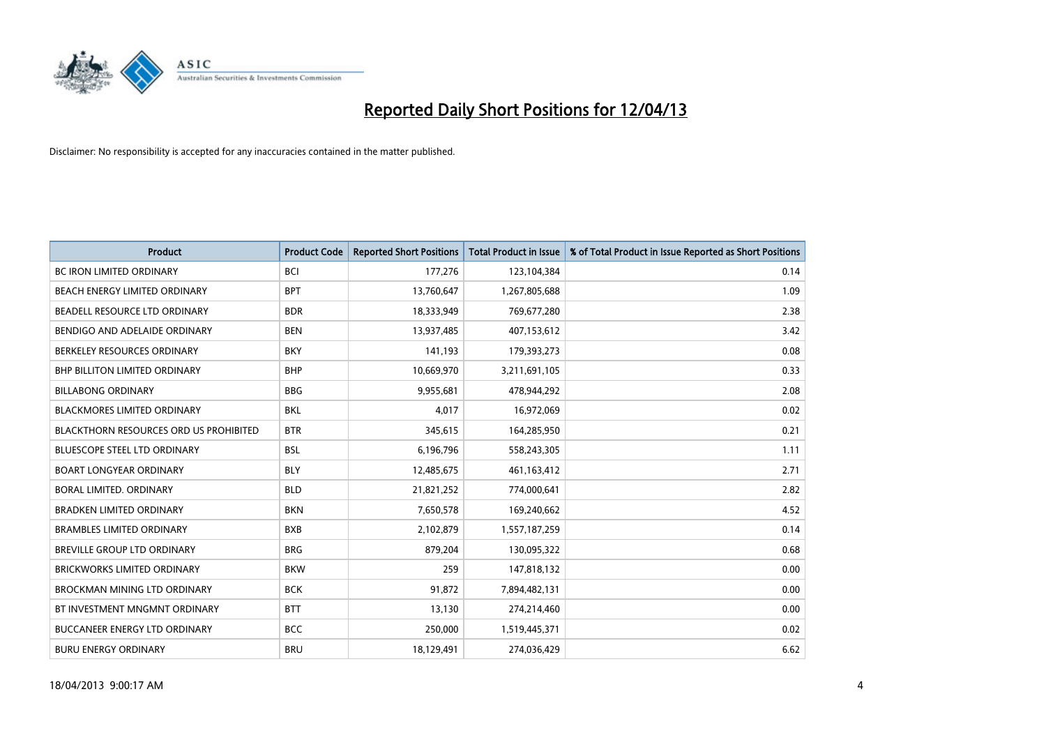

| <b>Product</b>                                | <b>Product Code</b> | <b>Reported Short Positions</b> | <b>Total Product in Issue</b> | % of Total Product in Issue Reported as Short Positions |
|-----------------------------------------------|---------------------|---------------------------------|-------------------------------|---------------------------------------------------------|
| <b>BC IRON LIMITED ORDINARY</b>               | <b>BCI</b>          | 177,276                         | 123,104,384                   | 0.14                                                    |
| BEACH ENERGY LIMITED ORDINARY                 | <b>BPT</b>          | 13,760,647                      | 1,267,805,688                 | 1.09                                                    |
| BEADELL RESOURCE LTD ORDINARY                 | <b>BDR</b>          | 18,333,949                      | 769,677,280                   | 2.38                                                    |
| BENDIGO AND ADELAIDE ORDINARY                 | <b>BEN</b>          | 13,937,485                      | 407,153,612                   | 3.42                                                    |
| BERKELEY RESOURCES ORDINARY                   | <b>BKY</b>          | 141,193                         | 179,393,273                   | 0.08                                                    |
| <b>BHP BILLITON LIMITED ORDINARY</b>          | <b>BHP</b>          | 10,669,970                      | 3,211,691,105                 | 0.33                                                    |
| <b>BILLABONG ORDINARY</b>                     | <b>BBG</b>          | 9,955,681                       | 478,944,292                   | 2.08                                                    |
| BLACKMORES LIMITED ORDINARY                   | <b>BKL</b>          | 4,017                           | 16,972,069                    | 0.02                                                    |
| <b>BLACKTHORN RESOURCES ORD US PROHIBITED</b> | <b>BTR</b>          | 345,615                         | 164,285,950                   | 0.21                                                    |
| <b>BLUESCOPE STEEL LTD ORDINARY</b>           | <b>BSL</b>          | 6,196,796                       | 558,243,305                   | 1.11                                                    |
| <b>BOART LONGYEAR ORDINARY</b>                | <b>BLY</b>          | 12,485,675                      | 461,163,412                   | 2.71                                                    |
| <b>BORAL LIMITED, ORDINARY</b>                | <b>BLD</b>          | 21,821,252                      | 774,000,641                   | 2.82                                                    |
| <b>BRADKEN LIMITED ORDINARY</b>               | <b>BKN</b>          | 7,650,578                       | 169,240,662                   | 4.52                                                    |
| <b>BRAMBLES LIMITED ORDINARY</b>              | <b>BXB</b>          | 2,102,879                       | 1,557,187,259                 | 0.14                                                    |
| BREVILLE GROUP LTD ORDINARY                   | <b>BRG</b>          | 879,204                         | 130,095,322                   | 0.68                                                    |
| BRICKWORKS LIMITED ORDINARY                   | <b>BKW</b>          | 259                             | 147,818,132                   | 0.00                                                    |
| BROCKMAN MINING LTD ORDINARY                  | <b>BCK</b>          | 91,872                          | 7,894,482,131                 | 0.00                                                    |
| BT INVESTMENT MNGMNT ORDINARY                 | <b>BTT</b>          | 13,130                          | 274,214,460                   | 0.00                                                    |
| <b>BUCCANEER ENERGY LTD ORDINARY</b>          | <b>BCC</b>          | 250,000                         | 1,519,445,371                 | 0.02                                                    |
| <b>BURU ENERGY ORDINARY</b>                   | <b>BRU</b>          | 18,129,491                      | 274,036,429                   | 6.62                                                    |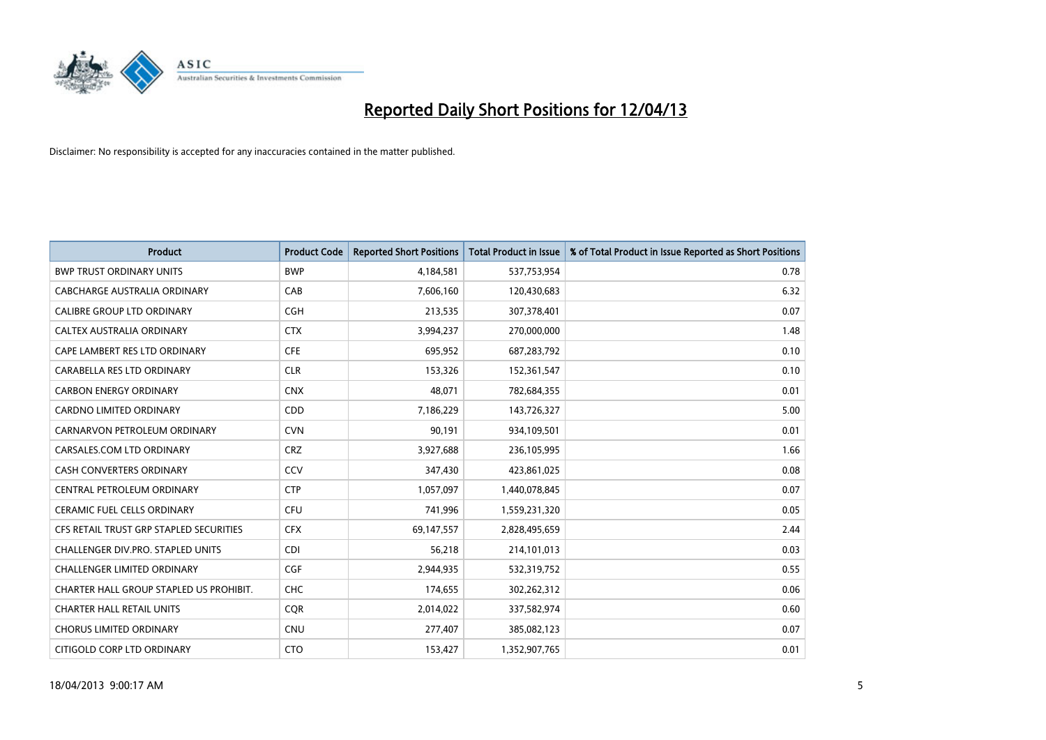

| <b>Product</b>                          | <b>Product Code</b> | <b>Reported Short Positions</b> | <b>Total Product in Issue</b> | % of Total Product in Issue Reported as Short Positions |
|-----------------------------------------|---------------------|---------------------------------|-------------------------------|---------------------------------------------------------|
| <b>BWP TRUST ORDINARY UNITS</b>         | <b>BWP</b>          | 4,184,581                       | 537,753,954                   | 0.78                                                    |
| CABCHARGE AUSTRALIA ORDINARY            | CAB                 | 7,606,160                       | 120,430,683                   | 6.32                                                    |
| <b>CALIBRE GROUP LTD ORDINARY</b>       | <b>CGH</b>          | 213,535                         | 307,378,401                   | 0.07                                                    |
| CALTEX AUSTRALIA ORDINARY               | <b>CTX</b>          | 3,994,237                       | 270,000,000                   | 1.48                                                    |
| CAPE LAMBERT RES LTD ORDINARY           | <b>CFE</b>          | 695,952                         | 687,283,792                   | 0.10                                                    |
| CARABELLA RES LTD ORDINARY              | <b>CLR</b>          | 153,326                         | 152,361,547                   | 0.10                                                    |
| <b>CARBON ENERGY ORDINARY</b>           | <b>CNX</b>          | 48,071                          | 782,684,355                   | 0.01                                                    |
| <b>CARDNO LIMITED ORDINARY</b>          | CDD                 | 7,186,229                       | 143,726,327                   | 5.00                                                    |
| CARNARVON PETROLEUM ORDINARY            | <b>CVN</b>          | 90,191                          | 934,109,501                   | 0.01                                                    |
| CARSALES.COM LTD ORDINARY               | <b>CRZ</b>          | 3,927,688                       | 236,105,995                   | 1.66                                                    |
| <b>CASH CONVERTERS ORDINARY</b>         | CCV                 | 347,430                         | 423,861,025                   | 0.08                                                    |
| CENTRAL PETROLEUM ORDINARY              | <b>CTP</b>          | 1,057,097                       | 1,440,078,845                 | 0.07                                                    |
| <b>CERAMIC FUEL CELLS ORDINARY</b>      | <b>CFU</b>          | 741,996                         | 1,559,231,320                 | 0.05                                                    |
| CFS RETAIL TRUST GRP STAPLED SECURITIES | <b>CFX</b>          | 69,147,557                      | 2,828,495,659                 | 2.44                                                    |
| CHALLENGER DIV.PRO. STAPLED UNITS       | <b>CDI</b>          | 56,218                          | 214,101,013                   | 0.03                                                    |
| <b>CHALLENGER LIMITED ORDINARY</b>      | <b>CGF</b>          | 2,944,935                       | 532,319,752                   | 0.55                                                    |
| CHARTER HALL GROUP STAPLED US PROHIBIT. | <b>CHC</b>          | 174,655                         | 302,262,312                   | 0.06                                                    |
| <b>CHARTER HALL RETAIL UNITS</b>        | <b>CQR</b>          | 2,014,022                       | 337,582,974                   | 0.60                                                    |
| <b>CHORUS LIMITED ORDINARY</b>          | <b>CNU</b>          | 277,407                         | 385,082,123                   | 0.07                                                    |
| CITIGOLD CORP LTD ORDINARY              | <b>CTO</b>          | 153,427                         | 1,352,907,765                 | 0.01                                                    |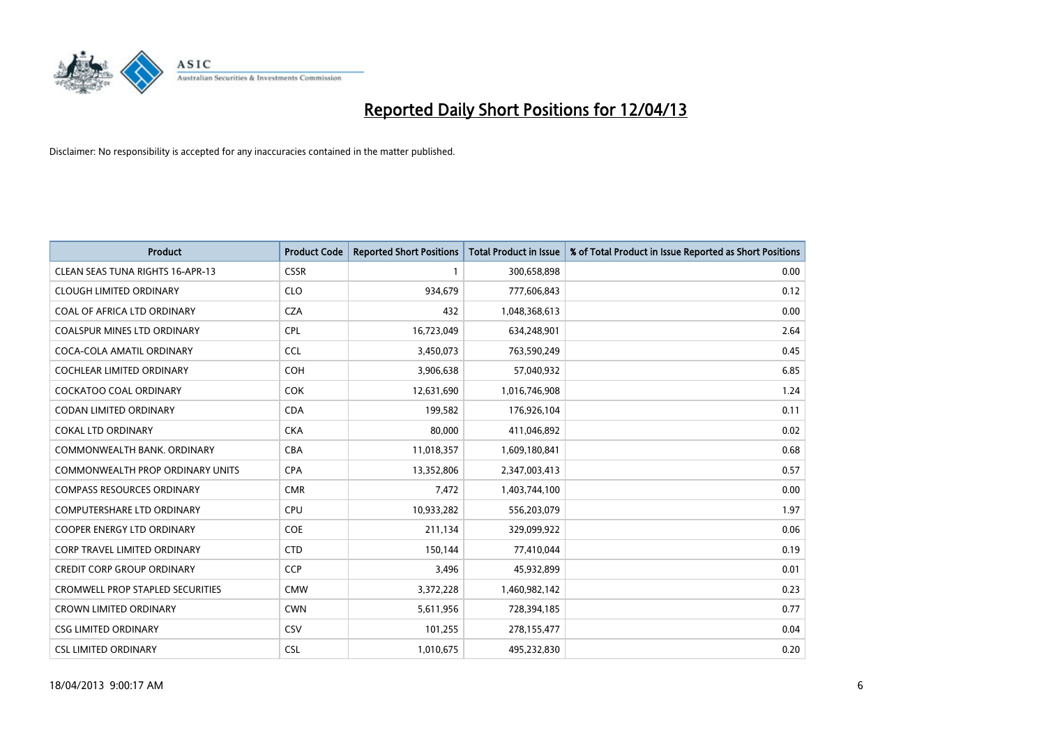

| <b>Product</b>                          | <b>Product Code</b> | <b>Reported Short Positions</b> | <b>Total Product in Issue</b> | % of Total Product in Issue Reported as Short Positions |
|-----------------------------------------|---------------------|---------------------------------|-------------------------------|---------------------------------------------------------|
| <b>CLEAN SEAS TUNA RIGHTS 16-APR-13</b> | <b>CSSR</b>         | 1                               | 300,658,898                   | 0.00                                                    |
| <b>CLOUGH LIMITED ORDINARY</b>          | <b>CLO</b>          | 934,679                         | 777,606,843                   | 0.12                                                    |
| COAL OF AFRICA LTD ORDINARY             | <b>CZA</b>          | 432                             | 1,048,368,613                 | 0.00                                                    |
| <b>COALSPUR MINES LTD ORDINARY</b>      | <b>CPL</b>          | 16,723,049                      | 634,248,901                   | 2.64                                                    |
| COCA-COLA AMATIL ORDINARY               | <b>CCL</b>          | 3,450,073                       | 763,590,249                   | 0.45                                                    |
| <b>COCHLEAR LIMITED ORDINARY</b>        | <b>COH</b>          | 3,906,638                       | 57,040,932                    | 6.85                                                    |
| <b>COCKATOO COAL ORDINARY</b>           | <b>COK</b>          | 12,631,690                      | 1,016,746,908                 | 1.24                                                    |
| CODAN LIMITED ORDINARY                  | <b>CDA</b>          | 199,582                         | 176,926,104                   | 0.11                                                    |
| <b>COKAL LTD ORDINARY</b>               | <b>CKA</b>          | 80,000                          | 411,046,892                   | 0.02                                                    |
| COMMONWEALTH BANK, ORDINARY             | <b>CBA</b>          | 11,018,357                      | 1,609,180,841                 | 0.68                                                    |
| COMMONWEALTH PROP ORDINARY UNITS        | <b>CPA</b>          | 13,352,806                      | 2,347,003,413                 | 0.57                                                    |
| <b>COMPASS RESOURCES ORDINARY</b>       | <b>CMR</b>          | 7,472                           | 1,403,744,100                 | 0.00                                                    |
| COMPUTERSHARE LTD ORDINARY              | <b>CPU</b>          | 10,933,282                      | 556,203,079                   | 1.97                                                    |
| <b>COOPER ENERGY LTD ORDINARY</b>       | <b>COE</b>          | 211,134                         | 329,099,922                   | 0.06                                                    |
| CORP TRAVEL LIMITED ORDINARY            | <b>CTD</b>          | 150,144                         | 77,410,044                    | 0.19                                                    |
| <b>CREDIT CORP GROUP ORDINARY</b>       | <b>CCP</b>          | 3,496                           | 45,932,899                    | 0.01                                                    |
| <b>CROMWELL PROP STAPLED SECURITIES</b> | <b>CMW</b>          | 3,372,228                       | 1,460,982,142                 | 0.23                                                    |
| <b>CROWN LIMITED ORDINARY</b>           | <b>CWN</b>          | 5,611,956                       | 728,394,185                   | 0.77                                                    |
| <b>CSG LIMITED ORDINARY</b>             | CSV                 | 101,255                         | 278,155,477                   | 0.04                                                    |
| <b>CSL LIMITED ORDINARY</b>             | <b>CSL</b>          | 1,010,675                       | 495,232,830                   | 0.20                                                    |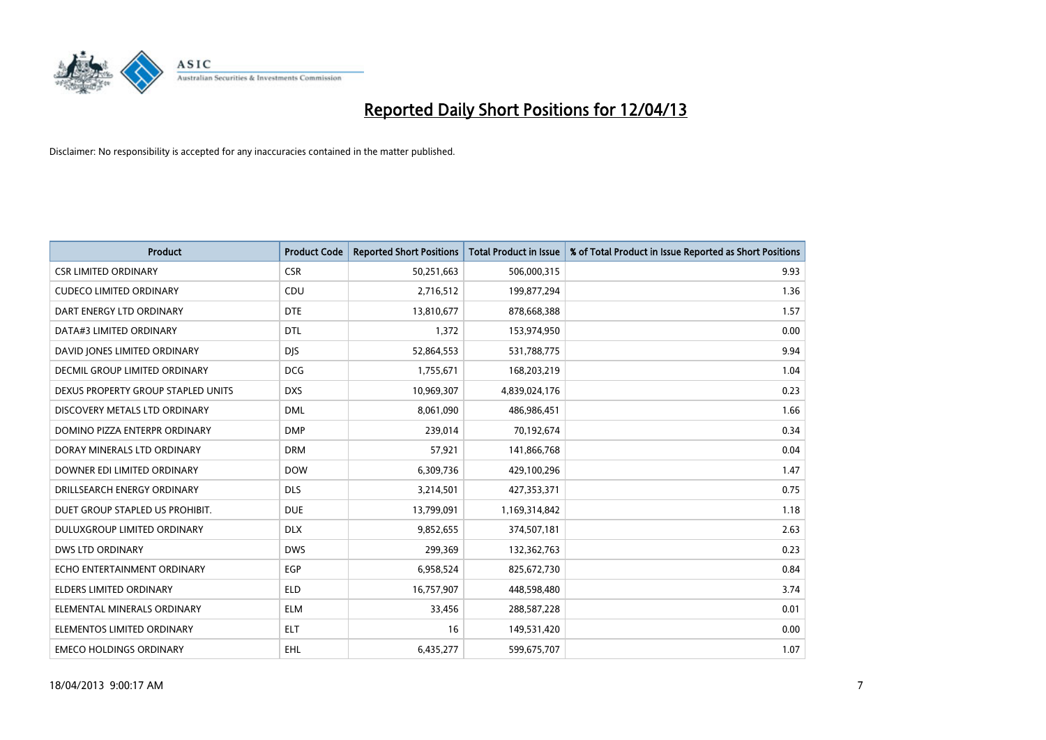

| <b>Product</b>                     | <b>Product Code</b> | <b>Reported Short Positions</b> | <b>Total Product in Issue</b> | % of Total Product in Issue Reported as Short Positions |
|------------------------------------|---------------------|---------------------------------|-------------------------------|---------------------------------------------------------|
| <b>CSR LIMITED ORDINARY</b>        | <b>CSR</b>          | 50,251,663                      | 506,000,315                   | 9.93                                                    |
| <b>CUDECO LIMITED ORDINARY</b>     | <b>CDU</b>          | 2,716,512                       | 199,877,294                   | 1.36                                                    |
| DART ENERGY LTD ORDINARY           | <b>DTE</b>          | 13,810,677                      | 878,668,388                   | 1.57                                                    |
| DATA#3 LIMITED ORDINARY            | <b>DTL</b>          | 1,372                           | 153,974,950                   | 0.00                                                    |
| DAVID JONES LIMITED ORDINARY       | <b>DJS</b>          | 52,864,553                      | 531,788,775                   | 9.94                                                    |
| DECMIL GROUP LIMITED ORDINARY      | <b>DCG</b>          | 1,755,671                       | 168,203,219                   | 1.04                                                    |
| DEXUS PROPERTY GROUP STAPLED UNITS | <b>DXS</b>          | 10,969,307                      | 4,839,024,176                 | 0.23                                                    |
| DISCOVERY METALS LTD ORDINARY      | <b>DML</b>          | 8,061,090                       | 486,986,451                   | 1.66                                                    |
| DOMINO PIZZA ENTERPR ORDINARY      | <b>DMP</b>          | 239,014                         | 70,192,674                    | 0.34                                                    |
| DORAY MINERALS LTD ORDINARY        | <b>DRM</b>          | 57,921                          | 141,866,768                   | 0.04                                                    |
| DOWNER EDI LIMITED ORDINARY        | <b>DOW</b>          | 6,309,736                       | 429,100,296                   | 1.47                                                    |
| DRILLSEARCH ENERGY ORDINARY        | <b>DLS</b>          | 3,214,501                       | 427,353,371                   | 0.75                                                    |
| DUET GROUP STAPLED US PROHIBIT.    | <b>DUE</b>          | 13,799,091                      | 1,169,314,842                 | 1.18                                                    |
| DULUXGROUP LIMITED ORDINARY        | <b>DLX</b>          | 9,852,655                       | 374,507,181                   | 2.63                                                    |
| <b>DWS LTD ORDINARY</b>            | <b>DWS</b>          | 299,369                         | 132,362,763                   | 0.23                                                    |
| ECHO ENTERTAINMENT ORDINARY        | <b>EGP</b>          | 6,958,524                       | 825,672,730                   | 0.84                                                    |
| ELDERS LIMITED ORDINARY            | <b>ELD</b>          | 16,757,907                      | 448,598,480                   | 3.74                                                    |
| ELEMENTAL MINERALS ORDINARY        | <b>ELM</b>          | 33,456                          | 288,587,228                   | 0.01                                                    |
| ELEMENTOS LIMITED ORDINARY         | <b>ELT</b>          | 16                              | 149,531,420                   | 0.00                                                    |
| <b>EMECO HOLDINGS ORDINARY</b>     | <b>EHL</b>          | 6,435,277                       | 599,675,707                   | 1.07                                                    |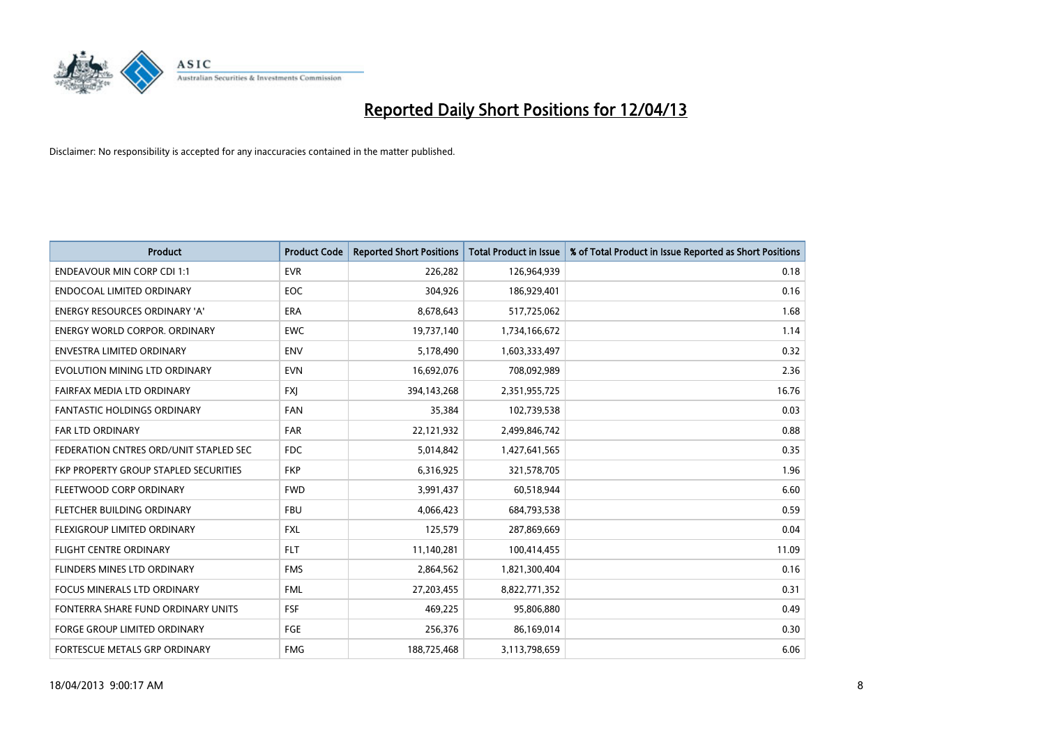

| <b>Product</b>                         | <b>Product Code</b> | <b>Reported Short Positions</b> | <b>Total Product in Issue</b> | % of Total Product in Issue Reported as Short Positions |
|----------------------------------------|---------------------|---------------------------------|-------------------------------|---------------------------------------------------------|
| <b>ENDEAVOUR MIN CORP CDI 1:1</b>      | <b>EVR</b>          | 226,282                         | 126,964,939                   | 0.18                                                    |
| ENDOCOAL LIMITED ORDINARY              | EOC                 | 304,926                         | 186,929,401                   | 0.16                                                    |
| <b>ENERGY RESOURCES ORDINARY 'A'</b>   | <b>ERA</b>          | 8,678,643                       | 517,725,062                   | 1.68                                                    |
| ENERGY WORLD CORPOR. ORDINARY          | <b>EWC</b>          | 19,737,140                      | 1,734,166,672                 | 1.14                                                    |
| <b>ENVESTRA LIMITED ORDINARY</b>       | <b>ENV</b>          | 5,178,490                       | 1,603,333,497                 | 0.32                                                    |
| EVOLUTION MINING LTD ORDINARY          | <b>EVN</b>          | 16,692,076                      | 708,092,989                   | 2.36                                                    |
| FAIRFAX MEDIA LTD ORDINARY             | <b>FXJ</b>          | 394,143,268                     | 2,351,955,725                 | 16.76                                                   |
| <b>FANTASTIC HOLDINGS ORDINARY</b>     | <b>FAN</b>          | 35,384                          | 102,739,538                   | 0.03                                                    |
| FAR LTD ORDINARY                       | <b>FAR</b>          | 22,121,932                      | 2,499,846,742                 | 0.88                                                    |
| FEDERATION CNTRES ORD/UNIT STAPLED SEC | FDC.                | 5,014,842                       | 1,427,641,565                 | 0.35                                                    |
| FKP PROPERTY GROUP STAPLED SECURITIES  | <b>FKP</b>          | 6,316,925                       | 321,578,705                   | 1.96                                                    |
| FLEETWOOD CORP ORDINARY                | <b>FWD</b>          | 3,991,437                       | 60,518,944                    | 6.60                                                    |
| FLETCHER BUILDING ORDINARY             | <b>FBU</b>          | 4,066,423                       | 684,793,538                   | 0.59                                                    |
| FLEXIGROUP LIMITED ORDINARY            | <b>FXL</b>          | 125,579                         | 287,869,669                   | 0.04                                                    |
| <b>FLIGHT CENTRE ORDINARY</b>          | <b>FLT</b>          | 11,140,281                      | 100,414,455                   | 11.09                                                   |
| FLINDERS MINES LTD ORDINARY            | <b>FMS</b>          | 2,864,562                       | 1,821,300,404                 | 0.16                                                    |
| <b>FOCUS MINERALS LTD ORDINARY</b>     | <b>FML</b>          | 27,203,455                      | 8,822,771,352                 | 0.31                                                    |
| FONTERRA SHARE FUND ORDINARY UNITS     | <b>FSF</b>          | 469,225                         | 95,806,880                    | 0.49                                                    |
| <b>FORGE GROUP LIMITED ORDINARY</b>    | FGE                 | 256,376                         | 86,169,014                    | 0.30                                                    |
| <b>FORTESCUE METALS GRP ORDINARY</b>   | <b>FMG</b>          | 188,725,468                     | 3,113,798,659                 | 6.06                                                    |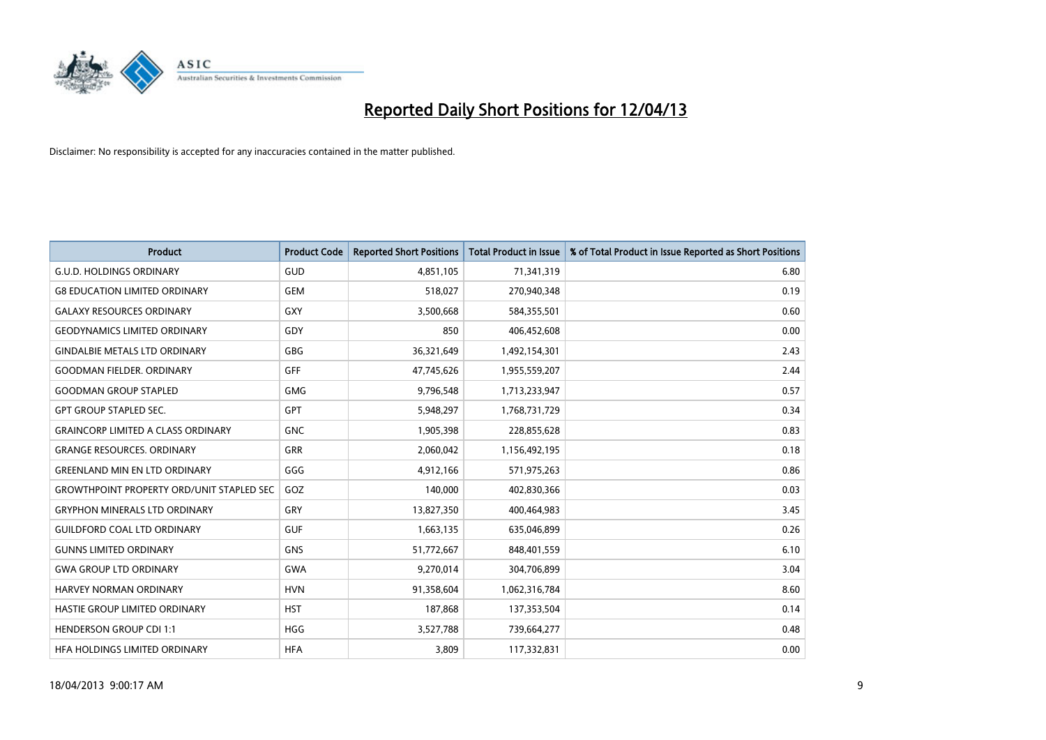

| <b>Product</b>                                   | <b>Product Code</b> | <b>Reported Short Positions</b> | <b>Total Product in Issue</b> | % of Total Product in Issue Reported as Short Positions |
|--------------------------------------------------|---------------------|---------------------------------|-------------------------------|---------------------------------------------------------|
| <b>G.U.D. HOLDINGS ORDINARY</b>                  | GUD                 | 4,851,105                       | 71,341,319                    | 6.80                                                    |
| <b>G8 EDUCATION LIMITED ORDINARY</b>             | <b>GEM</b>          | 518,027                         | 270,940,348                   | 0.19                                                    |
| <b>GALAXY RESOURCES ORDINARY</b>                 | <b>GXY</b>          | 3,500,668                       | 584,355,501                   | 0.60                                                    |
| <b>GEODYNAMICS LIMITED ORDINARY</b>              | GDY                 | 850                             | 406,452,608                   | 0.00                                                    |
| <b>GINDALBIE METALS LTD ORDINARY</b>             | GBG                 | 36,321,649                      | 1,492,154,301                 | 2.43                                                    |
| <b>GOODMAN FIELDER, ORDINARY</b>                 | <b>GFF</b>          | 47,745,626                      | 1,955,559,207                 | 2.44                                                    |
| <b>GOODMAN GROUP STAPLED</b>                     | <b>GMG</b>          | 9,796,548                       | 1,713,233,947                 | 0.57                                                    |
| <b>GPT GROUP STAPLED SEC.</b>                    | GPT                 | 5,948,297                       | 1,768,731,729                 | 0.34                                                    |
| <b>GRAINCORP LIMITED A CLASS ORDINARY</b>        | <b>GNC</b>          | 1,905,398                       | 228,855,628                   | 0.83                                                    |
| <b>GRANGE RESOURCES, ORDINARY</b>                | GRR                 | 2,060,042                       | 1,156,492,195                 | 0.18                                                    |
| <b>GREENLAND MIN EN LTD ORDINARY</b>             | GGG                 | 4,912,166                       | 571,975,263                   | 0.86                                                    |
| <b>GROWTHPOINT PROPERTY ORD/UNIT STAPLED SEC</b> | GOZ                 | 140,000                         | 402,830,366                   | 0.03                                                    |
| <b>GRYPHON MINERALS LTD ORDINARY</b>             | GRY                 | 13,827,350                      | 400,464,983                   | 3.45                                                    |
| <b>GUILDFORD COAL LTD ORDINARY</b>               | <b>GUF</b>          | 1,663,135                       | 635,046,899                   | 0.26                                                    |
| <b>GUNNS LIMITED ORDINARY</b>                    | <b>GNS</b>          | 51,772,667                      | 848,401,559                   | 6.10                                                    |
| <b>GWA GROUP LTD ORDINARY</b>                    | <b>GWA</b>          | 9,270,014                       | 304,706,899                   | 3.04                                                    |
| <b>HARVEY NORMAN ORDINARY</b>                    | <b>HVN</b>          | 91,358,604                      | 1,062,316,784                 | 8.60                                                    |
| <b>HASTIE GROUP LIMITED ORDINARY</b>             | <b>HST</b>          | 187,868                         | 137,353,504                   | 0.14                                                    |
| <b>HENDERSON GROUP CDI 1:1</b>                   | <b>HGG</b>          | 3,527,788                       | 739,664,277                   | 0.48                                                    |
| <b>HFA HOLDINGS LIMITED ORDINARY</b>             | <b>HFA</b>          | 3,809                           | 117,332,831                   | 0.00                                                    |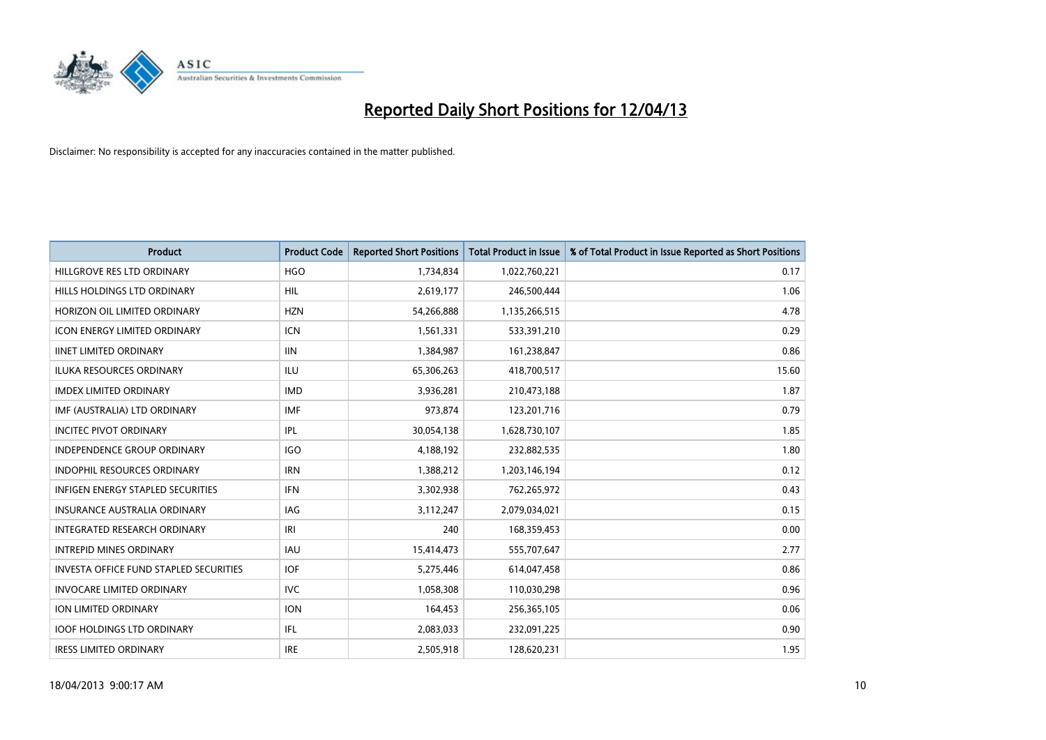

| <b>Product</b>                           | <b>Product Code</b> | <b>Reported Short Positions</b> | <b>Total Product in Issue</b> | % of Total Product in Issue Reported as Short Positions |
|------------------------------------------|---------------------|---------------------------------|-------------------------------|---------------------------------------------------------|
| HILLGROVE RES LTD ORDINARY               | <b>HGO</b>          | 1,734,834                       | 1,022,760,221                 | 0.17                                                    |
| HILLS HOLDINGS LTD ORDINARY              | HIL                 | 2,619,177                       | 246,500,444                   | 1.06                                                    |
| HORIZON OIL LIMITED ORDINARY             | <b>HZN</b>          | 54,266,888                      | 1,135,266,515                 | 4.78                                                    |
| ICON ENERGY LIMITED ORDINARY             | <b>ICN</b>          | 1,561,331                       | 533,391,210                   | 0.29                                                    |
| <b>IINET LIMITED ORDINARY</b>            | <b>IIN</b>          | 1,384,987                       | 161,238,847                   | 0.86                                                    |
| <b>ILUKA RESOURCES ORDINARY</b>          | <b>ILU</b>          | 65,306,263                      | 418,700,517                   | 15.60                                                   |
| <b>IMDEX LIMITED ORDINARY</b>            | <b>IMD</b>          | 3,936,281                       | 210,473,188                   | 1.87                                                    |
| IMF (AUSTRALIA) LTD ORDINARY             | <b>IMF</b>          | 973,874                         | 123,201,716                   | 0.79                                                    |
| <b>INCITEC PIVOT ORDINARY</b>            | IPL                 | 30,054,138                      | 1,628,730,107                 | 1.85                                                    |
| <b>INDEPENDENCE GROUP ORDINARY</b>       | <b>IGO</b>          | 4,188,192                       | 232,882,535                   | 1.80                                                    |
| INDOPHIL RESOURCES ORDINARY              | <b>IRN</b>          | 1,388,212                       | 1,203,146,194                 | 0.12                                                    |
| <b>INFIGEN ENERGY STAPLED SECURITIES</b> | <b>IFN</b>          | 3,302,938                       | 762,265,972                   | 0.43                                                    |
| INSURANCE AUSTRALIA ORDINARY             | <b>IAG</b>          | 3,112,247                       | 2,079,034,021                 | 0.15                                                    |
| INTEGRATED RESEARCH ORDINARY             | IRI                 | 240                             | 168,359,453                   | 0.00                                                    |
| <b>INTREPID MINES ORDINARY</b>           | <b>IAU</b>          | 15,414,473                      | 555,707,647                   | 2.77                                                    |
| INVESTA OFFICE FUND STAPLED SECURITIES   | <b>IOF</b>          | 5,275,446                       | 614,047,458                   | 0.86                                                    |
| <b>INVOCARE LIMITED ORDINARY</b>         | <b>IVC</b>          | 1,058,308                       | 110,030,298                   | 0.96                                                    |
| ION LIMITED ORDINARY                     | <b>ION</b>          | 164,453                         | 256,365,105                   | 0.06                                                    |
| <b>IOOF HOLDINGS LTD ORDINARY</b>        | IFL                 | 2,083,033                       | 232,091,225                   | 0.90                                                    |
| <b>IRESS LIMITED ORDINARY</b>            | <b>IRE</b>          | 2,505,918                       | 128,620,231                   | 1.95                                                    |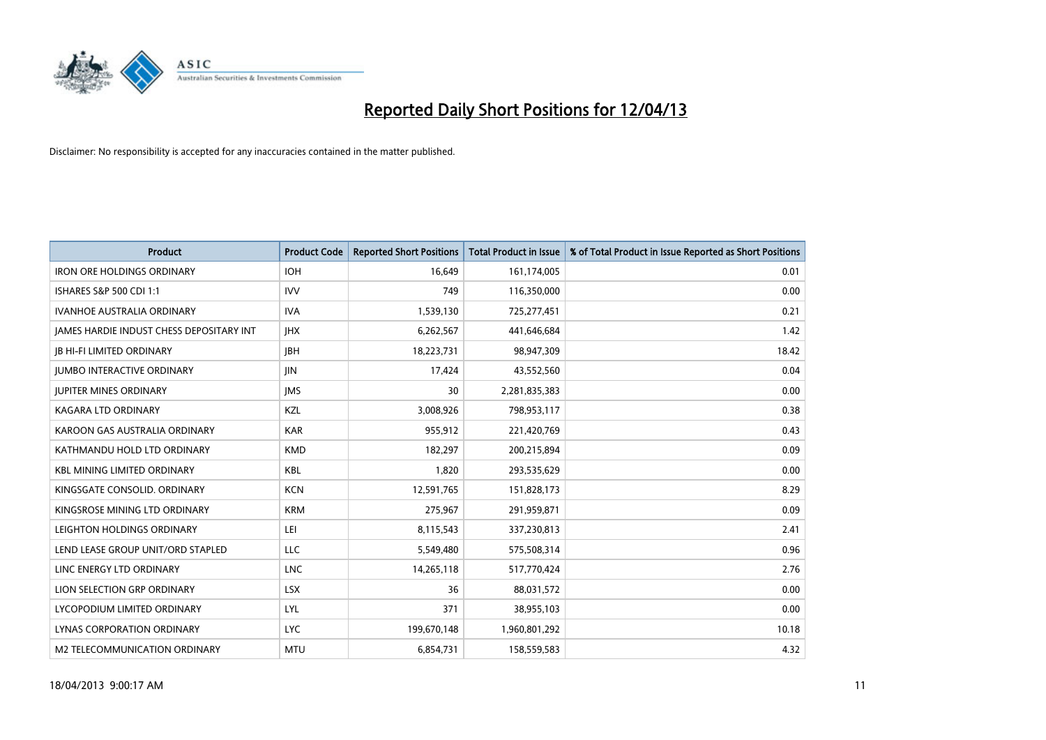

| <b>Product</b>                           | <b>Product Code</b> | <b>Reported Short Positions</b> | <b>Total Product in Issue</b> | % of Total Product in Issue Reported as Short Positions |
|------------------------------------------|---------------------|---------------------------------|-------------------------------|---------------------------------------------------------|
| <b>IRON ORE HOLDINGS ORDINARY</b>        | <b>IOH</b>          | 16,649                          | 161,174,005                   | 0.01                                                    |
| ISHARES S&P 500 CDI 1:1                  | <b>IVV</b>          | 749                             | 116,350,000                   | 0.00                                                    |
| <b>IVANHOE AUSTRALIA ORDINARY</b>        | <b>IVA</b>          | 1,539,130                       | 725,277,451                   | 0.21                                                    |
| JAMES HARDIE INDUST CHESS DEPOSITARY INT | <b>IHX</b>          | 6,262,567                       | 441,646,684                   | 1.42                                                    |
| <b>JB HI-FI LIMITED ORDINARY</b>         | <b>IBH</b>          | 18,223,731                      | 98,947,309                    | 18.42                                                   |
| <b>JUMBO INTERACTIVE ORDINARY</b>        | <b>JIN</b>          | 17,424                          | 43,552,560                    | 0.04                                                    |
| <b>JUPITER MINES ORDINARY</b>            | <b>IMS</b>          | 30                              | 2,281,835,383                 | 0.00                                                    |
| <b>KAGARA LTD ORDINARY</b>               | KZL                 | 3,008,926                       | 798,953,117                   | 0.38                                                    |
| KAROON GAS AUSTRALIA ORDINARY            | <b>KAR</b>          | 955,912                         | 221,420,769                   | 0.43                                                    |
| KATHMANDU HOLD LTD ORDINARY              | <b>KMD</b>          | 182,297                         | 200,215,894                   | 0.09                                                    |
| <b>KBL MINING LIMITED ORDINARY</b>       | <b>KBL</b>          | 1,820                           | 293,535,629                   | 0.00                                                    |
| KINGSGATE CONSOLID. ORDINARY             | <b>KCN</b>          | 12,591,765                      | 151,828,173                   | 8.29                                                    |
| KINGSROSE MINING LTD ORDINARY            | <b>KRM</b>          | 275,967                         | 291,959,871                   | 0.09                                                    |
| LEIGHTON HOLDINGS ORDINARY               | LEI                 | 8,115,543                       | 337,230,813                   | 2.41                                                    |
| LEND LEASE GROUP UNIT/ORD STAPLED        | <b>LLC</b>          | 5,549,480                       | 575,508,314                   | 0.96                                                    |
| LINC ENERGY LTD ORDINARY                 | <b>LNC</b>          | 14,265,118                      | 517,770,424                   | 2.76                                                    |
| LION SELECTION GRP ORDINARY              | <b>LSX</b>          | 36                              | 88,031,572                    | 0.00                                                    |
| LYCOPODIUM LIMITED ORDINARY              | <b>LYL</b>          | 371                             | 38,955,103                    | 0.00                                                    |
| LYNAS CORPORATION ORDINARY               | <b>LYC</b>          | 199,670,148                     | 1,960,801,292                 | 10.18                                                   |
| M2 TELECOMMUNICATION ORDINARY            | <b>MTU</b>          | 6,854,731                       | 158,559,583                   | 4.32                                                    |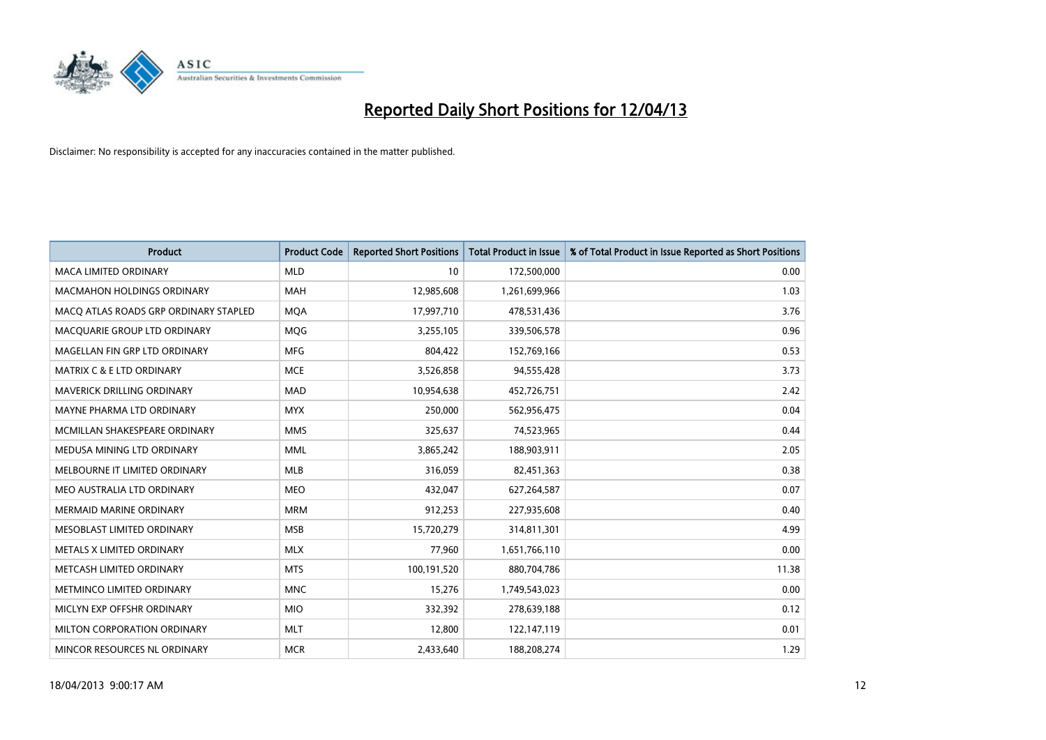

| <b>Product</b>                        | <b>Product Code</b> | <b>Reported Short Positions</b> | <b>Total Product in Issue</b> | % of Total Product in Issue Reported as Short Positions |
|---------------------------------------|---------------------|---------------------------------|-------------------------------|---------------------------------------------------------|
| <b>MACA LIMITED ORDINARY</b>          | <b>MLD</b>          | 10                              | 172,500,000                   | 0.00                                                    |
| <b>MACMAHON HOLDINGS ORDINARY</b>     | <b>MAH</b>          | 12,985,608                      | 1,261,699,966                 | 1.03                                                    |
| MACO ATLAS ROADS GRP ORDINARY STAPLED | <b>MQA</b>          | 17,997,710                      | 478,531,436                   | 3.76                                                    |
| MACQUARIE GROUP LTD ORDINARY          | <b>MOG</b>          | 3,255,105                       | 339,506,578                   | 0.96                                                    |
| MAGELLAN FIN GRP LTD ORDINARY         | <b>MFG</b>          | 804,422                         | 152,769,166                   | 0.53                                                    |
| <b>MATRIX C &amp; E LTD ORDINARY</b>  | <b>MCE</b>          | 3,526,858                       | 94,555,428                    | 3.73                                                    |
| <b>MAVERICK DRILLING ORDINARY</b>     | <b>MAD</b>          | 10,954,638                      | 452,726,751                   | 2.42                                                    |
| MAYNE PHARMA LTD ORDINARY             | <b>MYX</b>          | 250,000                         | 562,956,475                   | 0.04                                                    |
| MCMILLAN SHAKESPEARE ORDINARY         | <b>MMS</b>          | 325,637                         | 74,523,965                    | 0.44                                                    |
| MEDUSA MINING LTD ORDINARY            | <b>MML</b>          | 3,865,242                       | 188,903,911                   | 2.05                                                    |
| MELBOURNE IT LIMITED ORDINARY         | <b>MLB</b>          | 316,059                         | 82,451,363                    | 0.38                                                    |
| MEO AUSTRALIA LTD ORDINARY            | <b>MEO</b>          | 432,047                         | 627,264,587                   | 0.07                                                    |
| MERMAID MARINE ORDINARY               | <b>MRM</b>          | 912,253                         | 227,935,608                   | 0.40                                                    |
| MESOBLAST LIMITED ORDINARY            | <b>MSB</b>          | 15,720,279                      | 314,811,301                   | 4.99                                                    |
| METALS X LIMITED ORDINARY             | <b>MLX</b>          | 77,960                          | 1,651,766,110                 | 0.00                                                    |
| METCASH LIMITED ORDINARY              | <b>MTS</b>          | 100,191,520                     | 880,704,786                   | 11.38                                                   |
| METMINCO LIMITED ORDINARY             | <b>MNC</b>          | 15,276                          | 1,749,543,023                 | 0.00                                                    |
| MICLYN EXP OFFSHR ORDINARY            | <b>MIO</b>          | 332,392                         | 278,639,188                   | 0.12                                                    |
| MILTON CORPORATION ORDINARY           | <b>MLT</b>          | 12,800                          | 122,147,119                   | 0.01                                                    |
| MINCOR RESOURCES NL ORDINARY          | <b>MCR</b>          | 2,433,640                       | 188,208,274                   | 1.29                                                    |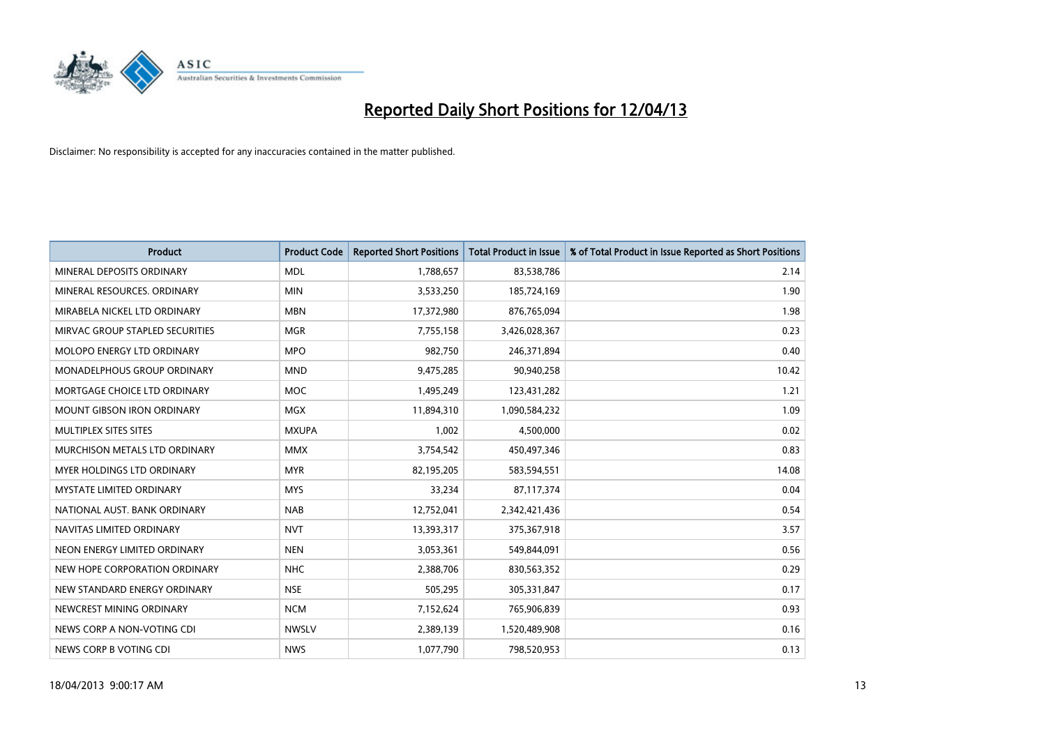

| <b>Product</b>                  | <b>Product Code</b> | <b>Reported Short Positions</b> | <b>Total Product in Issue</b> | % of Total Product in Issue Reported as Short Positions |
|---------------------------------|---------------------|---------------------------------|-------------------------------|---------------------------------------------------------|
| MINERAL DEPOSITS ORDINARY       | <b>MDL</b>          | 1,788,657                       | 83,538,786                    | 2.14                                                    |
| MINERAL RESOURCES. ORDINARY     | <b>MIN</b>          | 3,533,250                       | 185,724,169                   | 1.90                                                    |
| MIRABELA NICKEL LTD ORDINARY    | <b>MBN</b>          | 17,372,980                      | 876,765,094                   | 1.98                                                    |
| MIRVAC GROUP STAPLED SECURITIES | <b>MGR</b>          | 7,755,158                       | 3,426,028,367                 | 0.23                                                    |
| MOLOPO ENERGY LTD ORDINARY      | <b>MPO</b>          | 982,750                         | 246,371,894                   | 0.40                                                    |
| MONADELPHOUS GROUP ORDINARY     | <b>MND</b>          | 9,475,285                       | 90,940,258                    | 10.42                                                   |
| MORTGAGE CHOICE LTD ORDINARY    | MOC                 | 1,495,249                       | 123,431,282                   | 1.21                                                    |
| MOUNT GIBSON IRON ORDINARY      | <b>MGX</b>          | 11,894,310                      | 1,090,584,232                 | 1.09                                                    |
| MULTIPLEX SITES SITES           | <b>MXUPA</b>        | 1,002                           | 4,500,000                     | 0.02                                                    |
| MURCHISON METALS LTD ORDINARY   | <b>MMX</b>          | 3,754,542                       | 450,497,346                   | 0.83                                                    |
| MYER HOLDINGS LTD ORDINARY      | <b>MYR</b>          | 82,195,205                      | 583,594,551                   | 14.08                                                   |
| <b>MYSTATE LIMITED ORDINARY</b> | <b>MYS</b>          | 33,234                          | 87,117,374                    | 0.04                                                    |
| NATIONAL AUST, BANK ORDINARY    | <b>NAB</b>          | 12,752,041                      | 2,342,421,436                 | 0.54                                                    |
| NAVITAS LIMITED ORDINARY        | <b>NVT</b>          | 13,393,317                      | 375,367,918                   | 3.57                                                    |
| NEON ENERGY LIMITED ORDINARY    | <b>NEN</b>          | 3,053,361                       | 549,844,091                   | 0.56                                                    |
| NEW HOPE CORPORATION ORDINARY   | <b>NHC</b>          | 2,388,706                       | 830,563,352                   | 0.29                                                    |
| NEW STANDARD ENERGY ORDINARY    | <b>NSE</b>          | 505,295                         | 305,331,847                   | 0.17                                                    |
| NEWCREST MINING ORDINARY        | <b>NCM</b>          | 7,152,624                       | 765,906,839                   | 0.93                                                    |
| NEWS CORP A NON-VOTING CDI      | <b>NWSLV</b>        | 2,389,139                       | 1,520,489,908                 | 0.16                                                    |
| NEWS CORP B VOTING CDI          | <b>NWS</b>          | 1,077,790                       | 798,520,953                   | 0.13                                                    |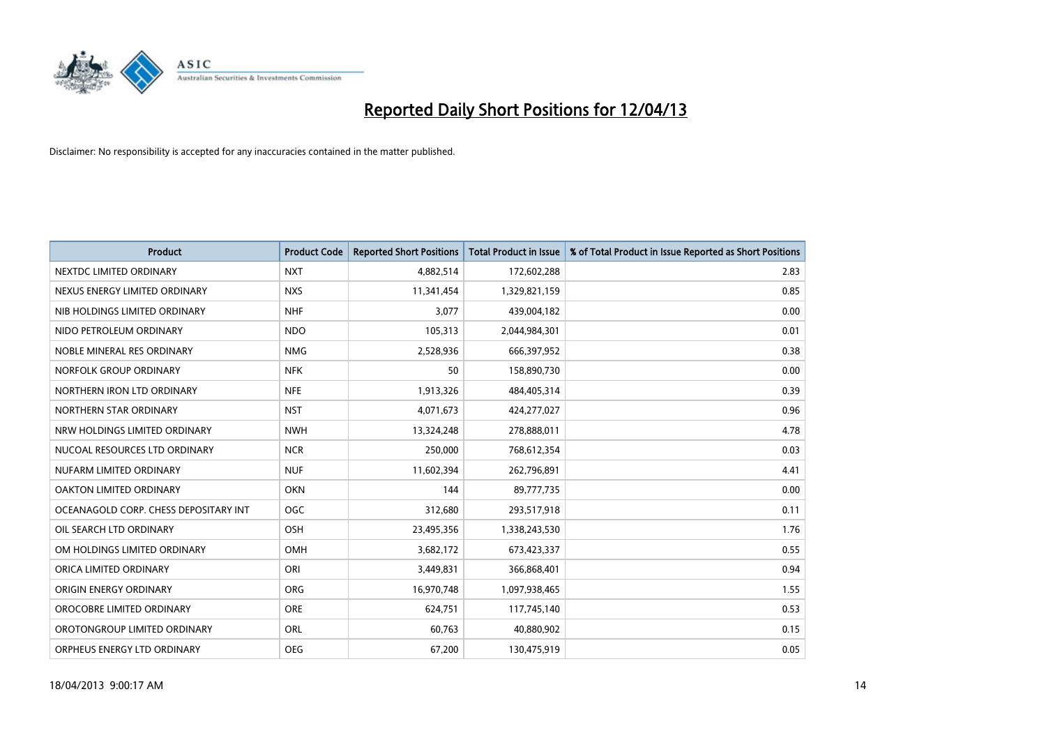

| <b>Product</b>                        | <b>Product Code</b> | <b>Reported Short Positions</b> | <b>Total Product in Issue</b> | % of Total Product in Issue Reported as Short Positions |
|---------------------------------------|---------------------|---------------------------------|-------------------------------|---------------------------------------------------------|
| NEXTDC LIMITED ORDINARY               | <b>NXT</b>          | 4,882,514                       | 172,602,288                   | 2.83                                                    |
| NEXUS ENERGY LIMITED ORDINARY         | <b>NXS</b>          | 11,341,454                      | 1,329,821,159                 | 0.85                                                    |
| NIB HOLDINGS LIMITED ORDINARY         | <b>NHF</b>          | 3,077                           | 439,004,182                   | 0.00                                                    |
| NIDO PETROLEUM ORDINARY               | <b>NDO</b>          | 105,313                         | 2,044,984,301                 | 0.01                                                    |
| NOBLE MINERAL RES ORDINARY            | <b>NMG</b>          | 2,528,936                       | 666,397,952                   | 0.38                                                    |
| NORFOLK GROUP ORDINARY                | <b>NFK</b>          | 50                              | 158,890,730                   | 0.00                                                    |
| NORTHERN IRON LTD ORDINARY            | <b>NFE</b>          | 1,913,326                       | 484,405,314                   | 0.39                                                    |
| NORTHERN STAR ORDINARY                | <b>NST</b>          | 4,071,673                       | 424,277,027                   | 0.96                                                    |
| NRW HOLDINGS LIMITED ORDINARY         | <b>NWH</b>          | 13,324,248                      | 278,888,011                   | 4.78                                                    |
| NUCOAL RESOURCES LTD ORDINARY         | <b>NCR</b>          | 250,000                         | 768,612,354                   | 0.03                                                    |
| NUFARM LIMITED ORDINARY               | <b>NUF</b>          | 11,602,394                      | 262,796,891                   | 4.41                                                    |
| OAKTON LIMITED ORDINARY               | <b>OKN</b>          | 144                             | 89,777,735                    | 0.00                                                    |
| OCEANAGOLD CORP. CHESS DEPOSITARY INT | <b>OGC</b>          | 312,680                         | 293,517,918                   | 0.11                                                    |
| OIL SEARCH LTD ORDINARY               | OSH                 | 23,495,356                      | 1,338,243,530                 | 1.76                                                    |
| OM HOLDINGS LIMITED ORDINARY          | OMH                 | 3,682,172                       | 673,423,337                   | 0.55                                                    |
| ORICA LIMITED ORDINARY                | ORI                 | 3,449,831                       | 366,868,401                   | 0.94                                                    |
| ORIGIN ENERGY ORDINARY                | <b>ORG</b>          | 16,970,748                      | 1,097,938,465                 | 1.55                                                    |
| OROCOBRE LIMITED ORDINARY             | <b>ORE</b>          | 624,751                         | 117,745,140                   | 0.53                                                    |
| OROTONGROUP LIMITED ORDINARY          | ORL                 | 60,763                          | 40,880,902                    | 0.15                                                    |
| ORPHEUS ENERGY LTD ORDINARY           | <b>OEG</b>          | 67,200                          | 130,475,919                   | 0.05                                                    |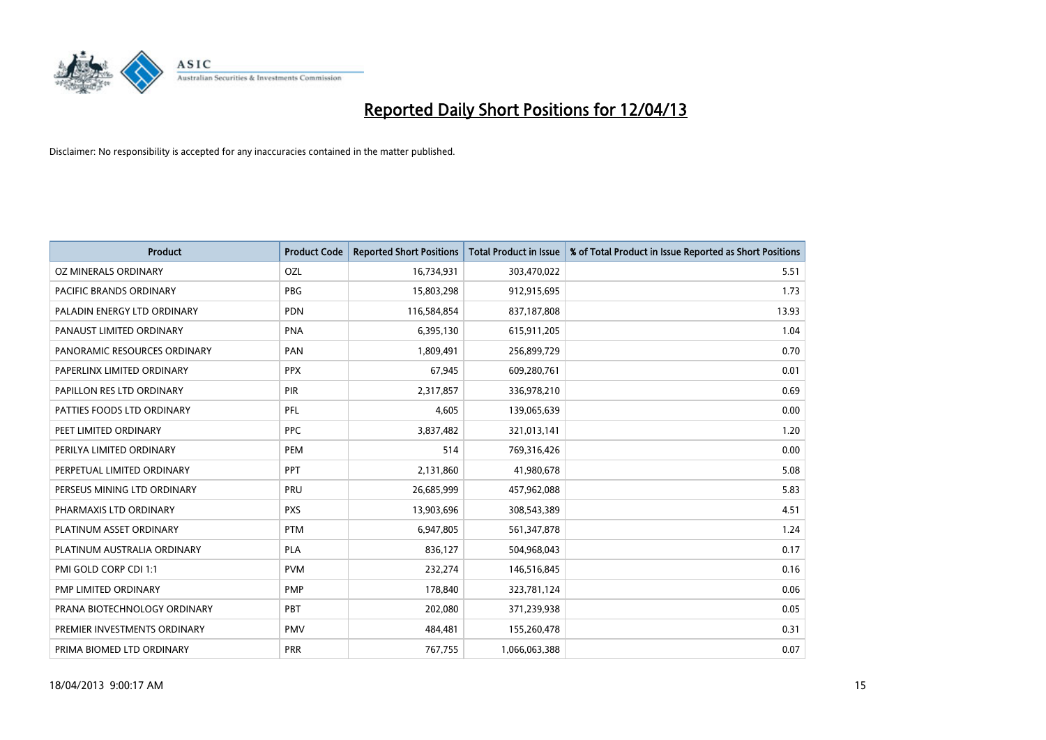

| <b>Product</b>               | <b>Product Code</b> | <b>Reported Short Positions</b> | <b>Total Product in Issue</b> | % of Total Product in Issue Reported as Short Positions |
|------------------------------|---------------------|---------------------------------|-------------------------------|---------------------------------------------------------|
| <b>OZ MINERALS ORDINARY</b>  | OZL                 | 16,734,931                      | 303,470,022                   | 5.51                                                    |
| PACIFIC BRANDS ORDINARY      | <b>PBG</b>          | 15,803,298                      | 912,915,695                   | 1.73                                                    |
| PALADIN ENERGY LTD ORDINARY  | <b>PDN</b>          | 116,584,854                     | 837,187,808                   | 13.93                                                   |
| PANAUST LIMITED ORDINARY     | <b>PNA</b>          | 6,395,130                       | 615,911,205                   | 1.04                                                    |
| PANORAMIC RESOURCES ORDINARY | PAN                 | 1,809,491                       | 256,899,729                   | 0.70                                                    |
| PAPERLINX LIMITED ORDINARY   | <b>PPX</b>          | 67,945                          | 609,280,761                   | 0.01                                                    |
| PAPILLON RES LTD ORDINARY    | PIR                 | 2,317,857                       | 336,978,210                   | 0.69                                                    |
| PATTIES FOODS LTD ORDINARY   | PFL                 | 4,605                           | 139,065,639                   | 0.00                                                    |
| PEET LIMITED ORDINARY        | <b>PPC</b>          | 3,837,482                       | 321,013,141                   | 1.20                                                    |
| PERILYA LIMITED ORDINARY     | PEM                 | 514                             | 769,316,426                   | 0.00                                                    |
| PERPETUAL LIMITED ORDINARY   | <b>PPT</b>          | 2,131,860                       | 41,980,678                    | 5.08                                                    |
| PERSEUS MINING LTD ORDINARY  | PRU                 | 26,685,999                      | 457,962,088                   | 5.83                                                    |
| PHARMAXIS LTD ORDINARY       | <b>PXS</b>          | 13,903,696                      | 308,543,389                   | 4.51                                                    |
| PLATINUM ASSET ORDINARY      | <b>PTM</b>          | 6,947,805                       | 561,347,878                   | 1.24                                                    |
| PLATINUM AUSTRALIA ORDINARY  | <b>PLA</b>          | 836,127                         | 504,968,043                   | 0.17                                                    |
| PMI GOLD CORP CDI 1:1        | <b>PVM</b>          | 232,274                         | 146,516,845                   | 0.16                                                    |
| PMP LIMITED ORDINARY         | <b>PMP</b>          | 178,840                         | 323,781,124                   | 0.06                                                    |
| PRANA BIOTECHNOLOGY ORDINARY | PBT                 | 202,080                         | 371,239,938                   | 0.05                                                    |
| PREMIER INVESTMENTS ORDINARY | <b>PMV</b>          | 484,481                         | 155,260,478                   | 0.31                                                    |
| PRIMA BIOMED LTD ORDINARY    | <b>PRR</b>          | 767,755                         | 1,066,063,388                 | 0.07                                                    |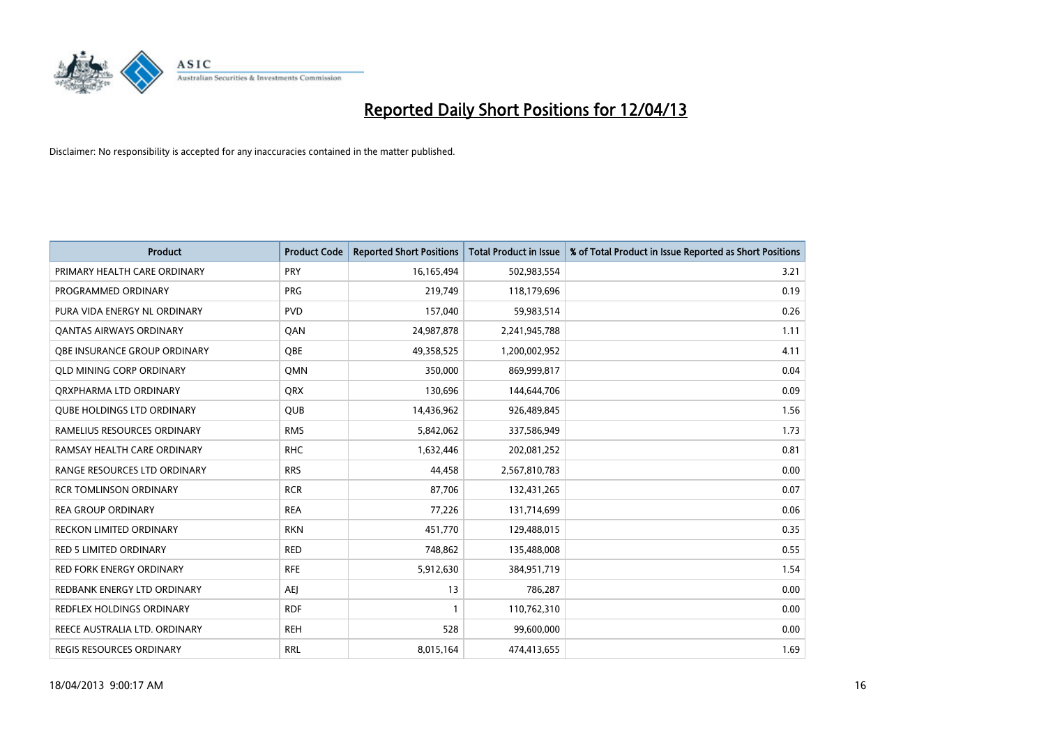

| <b>Product</b>                    | <b>Product Code</b> | <b>Reported Short Positions</b> | <b>Total Product in Issue</b> | % of Total Product in Issue Reported as Short Positions |
|-----------------------------------|---------------------|---------------------------------|-------------------------------|---------------------------------------------------------|
| PRIMARY HEALTH CARE ORDINARY      | <b>PRY</b>          | 16,165,494                      | 502,983,554                   | 3.21                                                    |
| PROGRAMMED ORDINARY               | <b>PRG</b>          | 219,749                         | 118,179,696                   | 0.19                                                    |
| PURA VIDA ENERGY NL ORDINARY      | <b>PVD</b>          | 157,040                         | 59,983,514                    | 0.26                                                    |
| <b>QANTAS AIRWAYS ORDINARY</b>    | QAN                 | 24,987,878                      | 2,241,945,788                 | 1.11                                                    |
| OBE INSURANCE GROUP ORDINARY      | <b>OBE</b>          | 49,358,525                      | 1,200,002,952                 | 4.11                                                    |
| <b>QLD MINING CORP ORDINARY</b>   | <b>OMN</b>          | 350,000                         | 869,999,817                   | 0.04                                                    |
| ORXPHARMA LTD ORDINARY            | <b>QRX</b>          | 130,696                         | 144,644,706                   | 0.09                                                    |
| <b>QUBE HOLDINGS LTD ORDINARY</b> | <b>QUB</b>          | 14,436,962                      | 926,489,845                   | 1.56                                                    |
| RAMELIUS RESOURCES ORDINARY       | <b>RMS</b>          | 5,842,062                       | 337,586,949                   | 1.73                                                    |
| RAMSAY HEALTH CARE ORDINARY       | <b>RHC</b>          | 1,632,446                       | 202,081,252                   | 0.81                                                    |
| RANGE RESOURCES LTD ORDINARY      | <b>RRS</b>          | 44,458                          | 2,567,810,783                 | 0.00                                                    |
| <b>RCR TOMLINSON ORDINARY</b>     | <b>RCR</b>          | 87,706                          | 132,431,265                   | 0.07                                                    |
| <b>REA GROUP ORDINARY</b>         | <b>REA</b>          | 77,226                          | 131,714,699                   | 0.06                                                    |
| <b>RECKON LIMITED ORDINARY</b>    | <b>RKN</b>          | 451,770                         | 129,488,015                   | 0.35                                                    |
| <b>RED 5 LIMITED ORDINARY</b>     | <b>RED</b>          | 748,862                         | 135,488,008                   | 0.55                                                    |
| RED FORK ENERGY ORDINARY          | <b>RFE</b>          | 5,912,630                       | 384,951,719                   | 1.54                                                    |
| REDBANK ENERGY LTD ORDINARY       | <b>AEJ</b>          | 13                              | 786,287                       | 0.00                                                    |
| REDFLEX HOLDINGS ORDINARY         | <b>RDF</b>          | $\mathbf{1}$                    | 110,762,310                   | 0.00                                                    |
| REECE AUSTRALIA LTD. ORDINARY     | <b>REH</b>          | 528                             | 99,600,000                    | 0.00                                                    |
| REGIS RESOURCES ORDINARY          | <b>RRL</b>          | 8,015,164                       | 474,413,655                   | 1.69                                                    |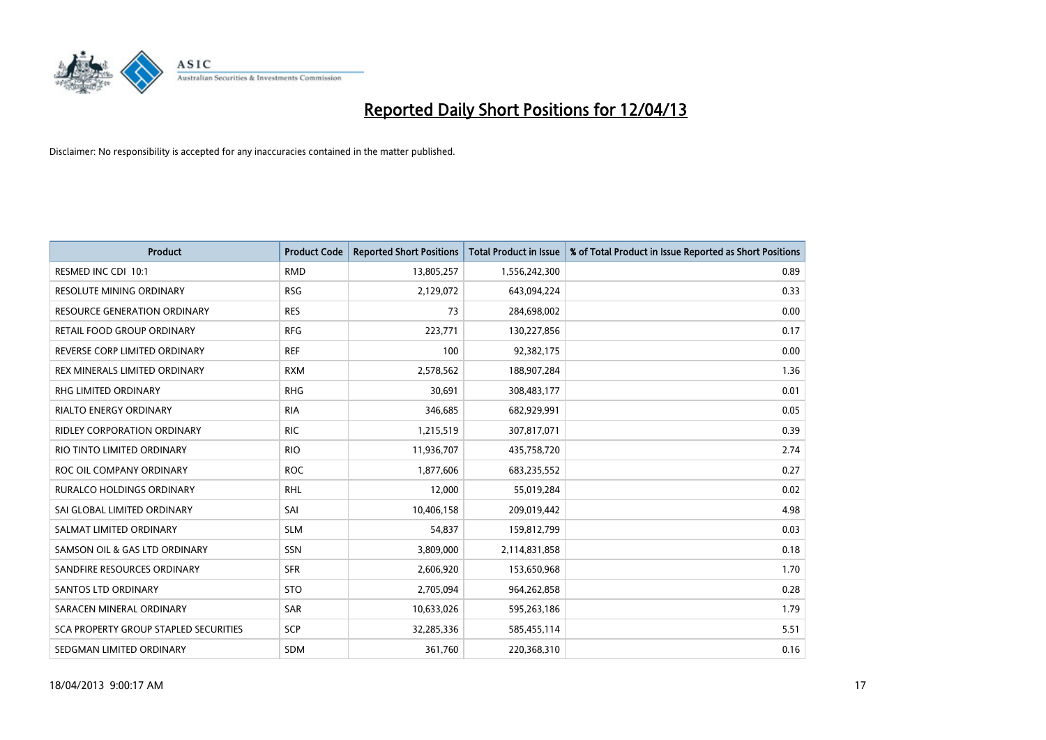

| <b>Product</b>                        | <b>Product Code</b> | <b>Reported Short Positions</b> | <b>Total Product in Issue</b> | % of Total Product in Issue Reported as Short Positions |
|---------------------------------------|---------------------|---------------------------------|-------------------------------|---------------------------------------------------------|
| RESMED INC CDI 10:1                   | <b>RMD</b>          | 13,805,257                      | 1,556,242,300                 | 0.89                                                    |
| RESOLUTE MINING ORDINARY              | <b>RSG</b>          | 2,129,072                       | 643,094,224                   | 0.33                                                    |
| <b>RESOURCE GENERATION ORDINARY</b>   | <b>RES</b>          | 73                              | 284,698,002                   | 0.00                                                    |
| RETAIL FOOD GROUP ORDINARY            | <b>RFG</b>          | 223,771                         | 130,227,856                   | 0.17                                                    |
| REVERSE CORP LIMITED ORDINARY         | <b>REF</b>          | 100                             | 92,382,175                    | 0.00                                                    |
| REX MINERALS LIMITED ORDINARY         | <b>RXM</b>          | 2,578,562                       | 188,907,284                   | 1.36                                                    |
| RHG LIMITED ORDINARY                  | <b>RHG</b>          | 30,691                          | 308,483,177                   | 0.01                                                    |
| RIALTO ENERGY ORDINARY                | <b>RIA</b>          | 346,685                         | 682,929,991                   | 0.05                                                    |
| <b>RIDLEY CORPORATION ORDINARY</b>    | <b>RIC</b>          | 1,215,519                       | 307,817,071                   | 0.39                                                    |
| RIO TINTO LIMITED ORDINARY            | <b>RIO</b>          | 11,936,707                      | 435,758,720                   | 2.74                                                    |
| ROC OIL COMPANY ORDINARY              | <b>ROC</b>          | 1,877,606                       | 683,235,552                   | 0.27                                                    |
| <b>RURALCO HOLDINGS ORDINARY</b>      | <b>RHL</b>          | 12,000                          | 55,019,284                    | 0.02                                                    |
| SAI GLOBAL LIMITED ORDINARY           | SAI                 | 10,406,158                      | 209,019,442                   | 4.98                                                    |
| SALMAT LIMITED ORDINARY               | <b>SLM</b>          | 54,837                          | 159,812,799                   | 0.03                                                    |
| SAMSON OIL & GAS LTD ORDINARY         | SSN                 | 3,809,000                       | 2,114,831,858                 | 0.18                                                    |
| SANDFIRE RESOURCES ORDINARY           | <b>SFR</b>          | 2,606,920                       | 153,650,968                   | 1.70                                                    |
| <b>SANTOS LTD ORDINARY</b>            | <b>STO</b>          | 2,705,094                       | 964,262,858                   | 0.28                                                    |
| SARACEN MINERAL ORDINARY              | <b>SAR</b>          | 10,633,026                      | 595,263,186                   | 1.79                                                    |
| SCA PROPERTY GROUP STAPLED SECURITIES | <b>SCP</b>          | 32,285,336                      | 585,455,114                   | 5.51                                                    |
| SEDGMAN LIMITED ORDINARY              | <b>SDM</b>          | 361,760                         | 220,368,310                   | 0.16                                                    |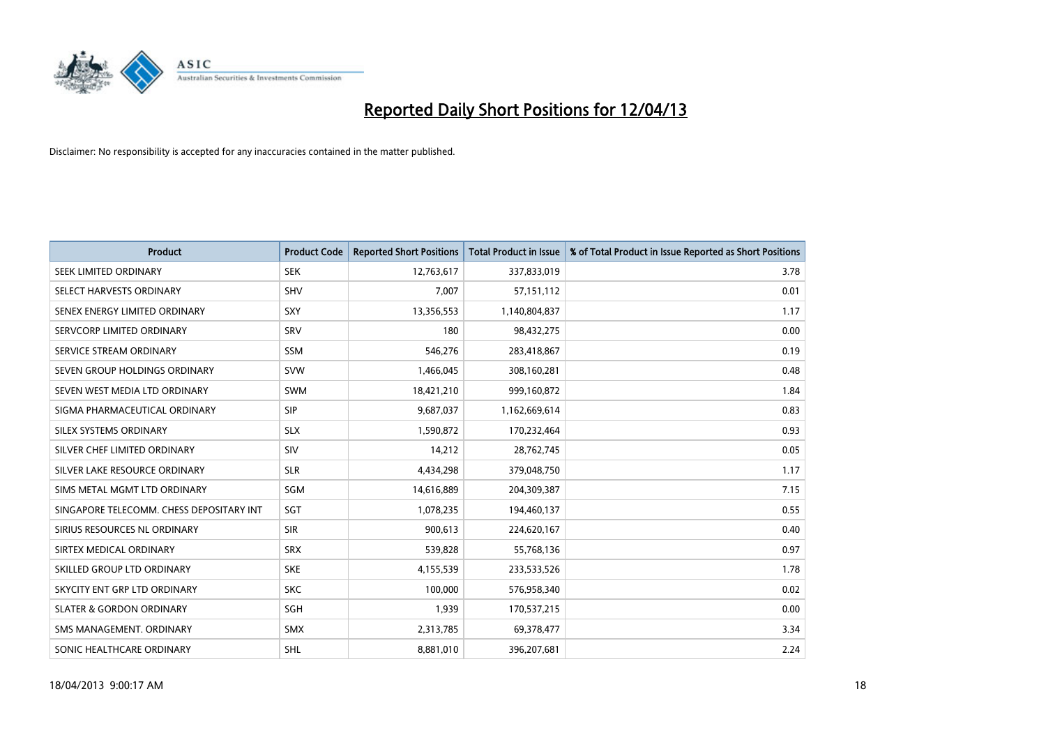

| <b>Product</b>                           | <b>Product Code</b> | <b>Reported Short Positions</b> | <b>Total Product in Issue</b> | % of Total Product in Issue Reported as Short Positions |
|------------------------------------------|---------------------|---------------------------------|-------------------------------|---------------------------------------------------------|
| SEEK LIMITED ORDINARY                    | <b>SEK</b>          | 12,763,617                      | 337,833,019                   | 3.78                                                    |
| SELECT HARVESTS ORDINARY                 | SHV                 | 7,007                           | 57,151,112                    | 0.01                                                    |
| SENEX ENERGY LIMITED ORDINARY            | <b>SXY</b>          | 13,356,553                      | 1,140,804,837                 | 1.17                                                    |
| SERVCORP LIMITED ORDINARY                | SRV                 | 180                             | 98,432,275                    | 0.00                                                    |
| SERVICE STREAM ORDINARY                  | SSM                 | 546,276                         | 283,418,867                   | 0.19                                                    |
| SEVEN GROUP HOLDINGS ORDINARY            | <b>SVW</b>          | 1,466,045                       | 308,160,281                   | 0.48                                                    |
| SEVEN WEST MEDIA LTD ORDINARY            | <b>SWM</b>          | 18,421,210                      | 999,160,872                   | 1.84                                                    |
| SIGMA PHARMACEUTICAL ORDINARY            | <b>SIP</b>          | 9,687,037                       | 1,162,669,614                 | 0.83                                                    |
| SILEX SYSTEMS ORDINARY                   | <b>SLX</b>          | 1,590,872                       | 170,232,464                   | 0.93                                                    |
| SILVER CHEF LIMITED ORDINARY             | SIV                 | 14,212                          | 28,762,745                    | 0.05                                                    |
| SILVER LAKE RESOURCE ORDINARY            | <b>SLR</b>          | 4,434,298                       | 379,048,750                   | 1.17                                                    |
| SIMS METAL MGMT LTD ORDINARY             | SGM                 | 14,616,889                      | 204,309,387                   | 7.15                                                    |
| SINGAPORE TELECOMM. CHESS DEPOSITARY INT | SGT                 | 1,078,235                       | 194,460,137                   | 0.55                                                    |
| SIRIUS RESOURCES NL ORDINARY             | <b>SIR</b>          | 900,613                         | 224,620,167                   | 0.40                                                    |
| SIRTEX MEDICAL ORDINARY                  | <b>SRX</b>          | 539,828                         | 55,768,136                    | 0.97                                                    |
| SKILLED GROUP LTD ORDINARY               | <b>SKE</b>          | 4,155,539                       | 233,533,526                   | 1.78                                                    |
| SKYCITY ENT GRP LTD ORDINARY             | <b>SKC</b>          | 100,000                         | 576,958,340                   | 0.02                                                    |
| <b>SLATER &amp; GORDON ORDINARY</b>      | SGH                 | 1,939                           | 170,537,215                   | 0.00                                                    |
| SMS MANAGEMENT, ORDINARY                 | <b>SMX</b>          | 2,313,785                       | 69,378,477                    | 3.34                                                    |
| SONIC HEALTHCARE ORDINARY                | SHL                 | 8,881,010                       | 396,207,681                   | 2.24                                                    |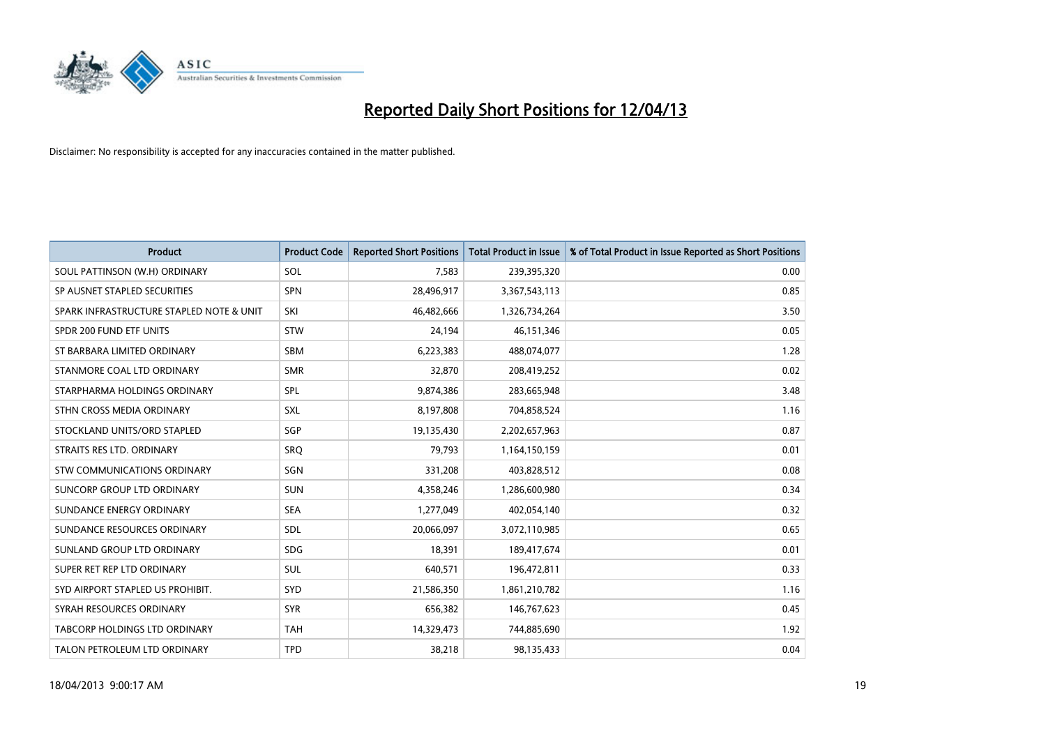

| <b>Product</b>                           | <b>Product Code</b> | <b>Reported Short Positions</b> | <b>Total Product in Issue</b> | % of Total Product in Issue Reported as Short Positions |
|------------------------------------------|---------------------|---------------------------------|-------------------------------|---------------------------------------------------------|
| SOUL PATTINSON (W.H) ORDINARY            | SOL                 | 7,583                           | 239,395,320                   | 0.00                                                    |
| SP AUSNET STAPLED SECURITIES             | <b>SPN</b>          | 28,496,917                      | 3,367,543,113                 | 0.85                                                    |
| SPARK INFRASTRUCTURE STAPLED NOTE & UNIT | SKI                 | 46,482,666                      | 1,326,734,264                 | 3.50                                                    |
| SPDR 200 FUND ETF UNITS                  | <b>STW</b>          | 24,194                          | 46, 151, 346                  | 0.05                                                    |
| ST BARBARA LIMITED ORDINARY              | <b>SBM</b>          | 6,223,383                       | 488,074,077                   | 1.28                                                    |
| STANMORE COAL LTD ORDINARY               | <b>SMR</b>          | 32,870                          | 208,419,252                   | 0.02                                                    |
| STARPHARMA HOLDINGS ORDINARY             | SPL                 | 9,874,386                       | 283,665,948                   | 3.48                                                    |
| STHN CROSS MEDIA ORDINARY                | <b>SXL</b>          | 8,197,808                       | 704,858,524                   | 1.16                                                    |
| STOCKLAND UNITS/ORD STAPLED              | <b>SGP</b>          | 19,135,430                      | 2,202,657,963                 | 0.87                                                    |
| STRAITS RES LTD. ORDINARY                | <b>SRQ</b>          | 79,793                          | 1,164,150,159                 | 0.01                                                    |
| <b>STW COMMUNICATIONS ORDINARY</b>       | SGN                 | 331,208                         | 403,828,512                   | 0.08                                                    |
| SUNCORP GROUP LTD ORDINARY               | <b>SUN</b>          | 4,358,246                       | 1,286,600,980                 | 0.34                                                    |
| SUNDANCE ENERGY ORDINARY                 | <b>SEA</b>          | 1,277,049                       | 402,054,140                   | 0.32                                                    |
| SUNDANCE RESOURCES ORDINARY              | SDL                 | 20,066,097                      | 3,072,110,985                 | 0.65                                                    |
| SUNLAND GROUP LTD ORDINARY               | <b>SDG</b>          | 18,391                          | 189,417,674                   | 0.01                                                    |
| SUPER RET REP LTD ORDINARY               | SUL                 | 640,571                         | 196,472,811                   | 0.33                                                    |
| SYD AIRPORT STAPLED US PROHIBIT.         | SYD                 | 21,586,350                      | 1,861,210,782                 | 1.16                                                    |
| SYRAH RESOURCES ORDINARY                 | <b>SYR</b>          | 656,382                         | 146,767,623                   | 0.45                                                    |
| TABCORP HOLDINGS LTD ORDINARY            | <b>TAH</b>          | 14,329,473                      | 744,885,690                   | 1.92                                                    |
| TALON PETROLEUM LTD ORDINARY             | <b>TPD</b>          | 38,218                          | 98,135,433                    | 0.04                                                    |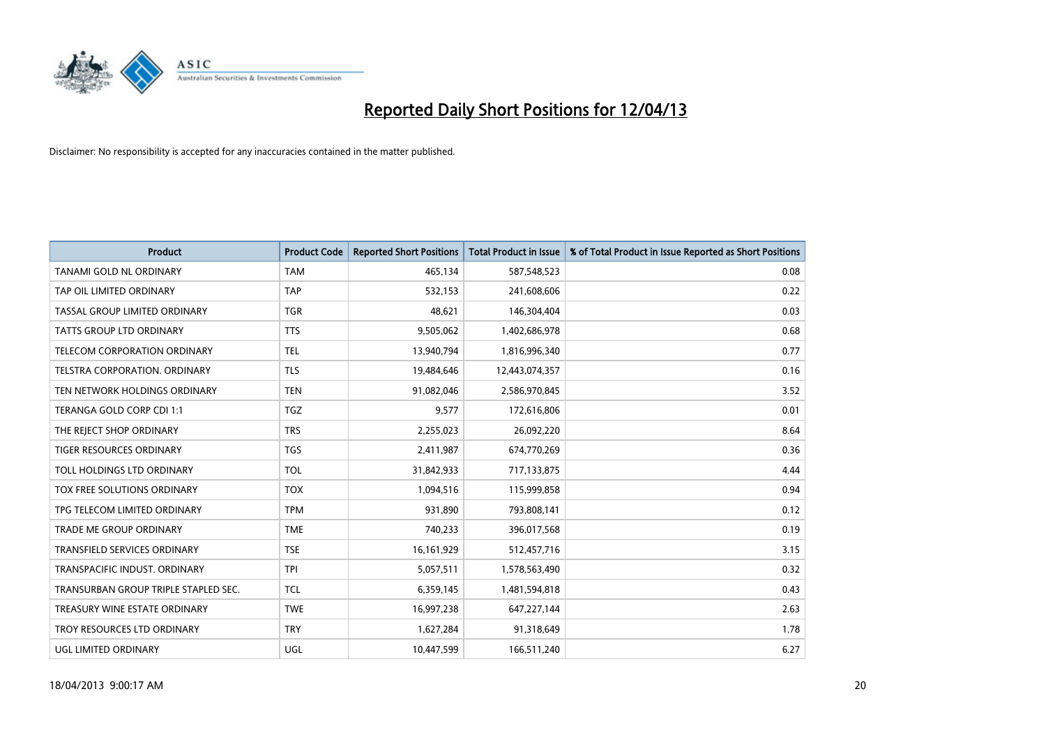

| <b>Product</b>                       | <b>Product Code</b> | <b>Reported Short Positions</b> | <b>Total Product in Issue</b> | % of Total Product in Issue Reported as Short Positions |
|--------------------------------------|---------------------|---------------------------------|-------------------------------|---------------------------------------------------------|
| TANAMI GOLD NL ORDINARY              | <b>TAM</b>          | 465,134                         | 587,548,523                   | 0.08                                                    |
| TAP OIL LIMITED ORDINARY             | <b>TAP</b>          | 532,153                         | 241,608,606                   | 0.22                                                    |
| TASSAL GROUP LIMITED ORDINARY        | <b>TGR</b>          | 48,621                          | 146,304,404                   | 0.03                                                    |
| <b>TATTS GROUP LTD ORDINARY</b>      | <b>TTS</b>          | 9,505,062                       | 1,402,686,978                 | 0.68                                                    |
| TELECOM CORPORATION ORDINARY         | <b>TEL</b>          | 13,940,794                      | 1,816,996,340                 | 0.77                                                    |
| TELSTRA CORPORATION, ORDINARY        | <b>TLS</b>          | 19,484,646                      | 12,443,074,357                | 0.16                                                    |
| TEN NETWORK HOLDINGS ORDINARY        | <b>TEN</b>          | 91,082,046                      | 2,586,970,845                 | 3.52                                                    |
| TERANGA GOLD CORP CDI 1:1            | <b>TGZ</b>          | 9,577                           | 172,616,806                   | 0.01                                                    |
| THE REJECT SHOP ORDINARY             | <b>TRS</b>          | 2,255,023                       | 26,092,220                    | 8.64                                                    |
| <b>TIGER RESOURCES ORDINARY</b>      | <b>TGS</b>          | 2,411,987                       | 674,770,269                   | 0.36                                                    |
| TOLL HOLDINGS LTD ORDINARY           | <b>TOL</b>          | 31,842,933                      | 717,133,875                   | 4.44                                                    |
| TOX FREE SOLUTIONS ORDINARY          | <b>TOX</b>          | 1,094,516                       | 115,999,858                   | 0.94                                                    |
| TPG TELECOM LIMITED ORDINARY         | <b>TPM</b>          | 931,890                         | 793,808,141                   | 0.12                                                    |
| <b>TRADE ME GROUP ORDINARY</b>       | <b>TME</b>          | 740,233                         | 396,017,568                   | 0.19                                                    |
| <b>TRANSFIELD SERVICES ORDINARY</b>  | <b>TSE</b>          | 16, 161, 929                    | 512,457,716                   | 3.15                                                    |
| TRANSPACIFIC INDUST. ORDINARY        | <b>TPI</b>          | 5,057,511                       | 1,578,563,490                 | 0.32                                                    |
| TRANSURBAN GROUP TRIPLE STAPLED SEC. | TCL                 | 6,359,145                       | 1,481,594,818                 | 0.43                                                    |
| TREASURY WINE ESTATE ORDINARY        | <b>TWE</b>          | 16,997,238                      | 647,227,144                   | 2.63                                                    |
| TROY RESOURCES LTD ORDINARY          | <b>TRY</b>          | 1,627,284                       | 91,318,649                    | 1.78                                                    |
| UGL LIMITED ORDINARY                 | UGL                 | 10,447,599                      | 166,511,240                   | 6.27                                                    |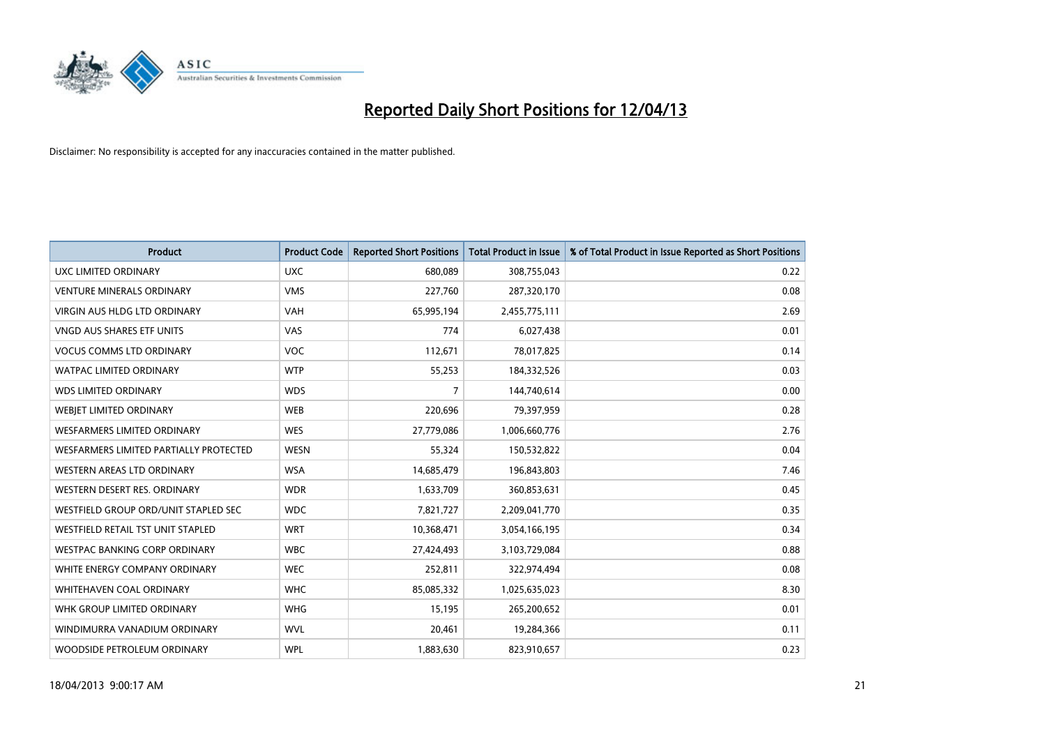

| <b>Product</b>                         | <b>Product Code</b> | <b>Reported Short Positions</b> | <b>Total Product in Issue</b> | % of Total Product in Issue Reported as Short Positions |
|----------------------------------------|---------------------|---------------------------------|-------------------------------|---------------------------------------------------------|
| UXC LIMITED ORDINARY                   | <b>UXC</b>          | 680,089                         | 308,755,043                   | 0.22                                                    |
| <b>VENTURE MINERALS ORDINARY</b>       | <b>VMS</b>          | 227,760                         | 287,320,170                   | 0.08                                                    |
| VIRGIN AUS HLDG LTD ORDINARY           | <b>VAH</b>          | 65,995,194                      | 2,455,775,111                 | 2.69                                                    |
| VNGD AUS SHARES ETF UNITS              | VAS                 | 774                             | 6,027,438                     | 0.01                                                    |
| <b>VOCUS COMMS LTD ORDINARY</b>        | <b>VOC</b>          | 112,671                         | 78,017,825                    | 0.14                                                    |
| <b>WATPAC LIMITED ORDINARY</b>         | <b>WTP</b>          | 55,253                          | 184,332,526                   | 0.03                                                    |
| <b>WDS LIMITED ORDINARY</b>            | <b>WDS</b>          | 7                               | 144,740,614                   | 0.00                                                    |
| WEBJET LIMITED ORDINARY                | <b>WEB</b>          | 220,696                         | 79,397,959                    | 0.28                                                    |
| <b>WESFARMERS LIMITED ORDINARY</b>     | <b>WES</b>          | 27,779,086                      | 1,006,660,776                 | 2.76                                                    |
| WESFARMERS LIMITED PARTIALLY PROTECTED | <b>WESN</b>         | 55,324                          | 150,532,822                   | 0.04                                                    |
| <b>WESTERN AREAS LTD ORDINARY</b>      | <b>WSA</b>          | 14,685,479                      | 196,843,803                   | 7.46                                                    |
| WESTERN DESERT RES. ORDINARY           | <b>WDR</b>          | 1,633,709                       | 360,853,631                   | 0.45                                                    |
| WESTFIELD GROUP ORD/UNIT STAPLED SEC   | <b>WDC</b>          | 7,821,727                       | 2,209,041,770                 | 0.35                                                    |
| WESTFIELD RETAIL TST UNIT STAPLED      | <b>WRT</b>          | 10,368,471                      | 3,054,166,195                 | 0.34                                                    |
| <b>WESTPAC BANKING CORP ORDINARY</b>   | <b>WBC</b>          | 27,424,493                      | 3,103,729,084                 | 0.88                                                    |
| WHITE ENERGY COMPANY ORDINARY          | <b>WEC</b>          | 252,811                         | 322,974,494                   | 0.08                                                    |
| WHITEHAVEN COAL ORDINARY               | <b>WHC</b>          | 85,085,332                      | 1,025,635,023                 | 8.30                                                    |
| WHK GROUP LIMITED ORDINARY             | <b>WHG</b>          | 15,195                          | 265,200,652                   | 0.01                                                    |
| WINDIMURRA VANADIUM ORDINARY           | <b>WVL</b>          | 20,461                          | 19,284,366                    | 0.11                                                    |
| WOODSIDE PETROLEUM ORDINARY            | <b>WPL</b>          | 1,883,630                       | 823,910,657                   | 0.23                                                    |